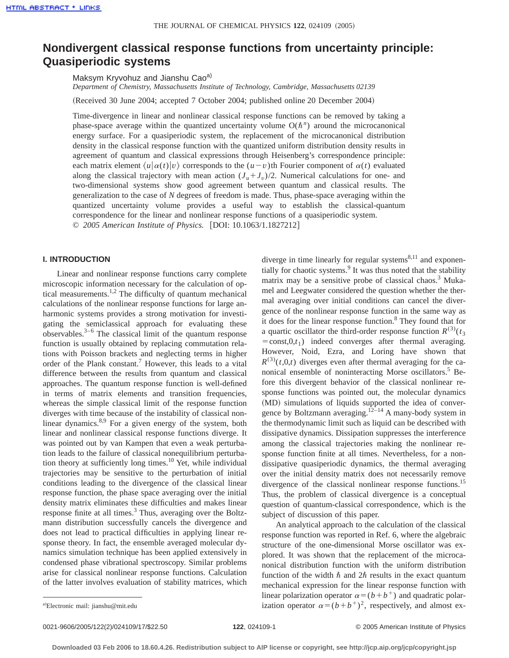# **Nondivergent classical response functions from uncertainty principle: Quasiperiodic systems**

Maksym Kryvohuz and Jianshu Cao<sup>a)</sup>

*Department of Chemistry, Massachusetts Institute of Technology, Cambridge, Massachusetts 02139*

(Received 30 June 2004; accepted 7 October 2004; published online 20 December 2004)

Time-divergence in linear and nonlinear classical response functions can be removed by taking a phase-space average within the quantized uncertainty volume  $O(\hbar^n)$  around the microcanonical energy surface. For a quasiperiodic system, the replacement of the microcanonical distribution density in the classical response function with the quantized uniform distribution density results in agreement of quantum and classical expressions through Heisenberg's correspondence principle: each matrix element  $\langle u | \alpha(t) | v \rangle$  corresponds to the  $(u-v)$ <sup>th</sup> Fourier component of  $\alpha(t)$  evaluated along the classical trajectory with mean action  $(J_u + J_v)/2$ . Numerical calculations for one- and two-dimensional systems show good agreement between quantum and classical results. The generalization to the case of *N* degrees of freedom is made. Thus, phase-space averaging within the quantized uncertainty volume provides a useful way to establish the classical-quantum correspondence for the linear and nonlinear response functions of a quasiperiodic system. © *2005 American Institute of Physics.* [DOI: 10.1063/1.1827212]

## **I. INTRODUCTION**

Linear and nonlinear response functions carry complete microscopic information necessary for the calculation of optical measurements.1,2 The difficulty of quantum mechanical calculations of the nonlinear response functions for large anharmonic systems provides a strong motivation for investigating the semiclassical approach for evaluating these observables. $3-6$  The classical limit of the quantum response function is usually obtained by replacing commutation relations with Poisson brackets and neglecting terms in higher order of the Plank constant.<sup>7</sup> However, this leads to a vital difference between the results from quantum and classical approaches. The quantum response function is well-defined in terms of matrix elements and transition frequencies, whereas the simple classical limit of the response function diverges with time because of the instability of classical nonlinear dynamics.<sup>8,9</sup> For a given energy of the system, both linear and nonlinear classical response functions diverge. It was pointed out by van Kampen that even a weak perturbation leads to the failure of classical nonequilibrium perturbation theory at sufficiently long times. $10$  Yet, while individual trajectories may be sensitive to the perturbation of initial conditions leading to the divergence of the classical linear response function, the phase space averaging over the initial density matrix eliminates these difficulties and makes linear response finite at all times. $3$  Thus, averaging over the Boltzmann distribution successfully cancels the divergence and does not lead to practical difficulties in applying linear response theory. In fact, the ensemble averaged molecular dynamics simulation technique has been applied extensively in condensed phase vibrational spectroscopy. Similar problems arise for classical nonlinear response functions. Calculation of the latter involves evaluation of stability matrices, which

diverge in time linearly for regular systems $8,11$  and exponentially for chaotic systems.<sup>9</sup> It was thus noted that the stability matrix may be a sensitive probe of classical chaos.<sup>3</sup> Mukamel and Leegwater considered the question whether the thermal averaging over initial conditions can cancel the divergence of the nonlinear response function in the same way as it does for the linear response function.<sup>8</sup> They found that for a quartic oscillator the third-order response function  $R^{(3)}(t_3)$  $=$ const,0, $t$ <sub>1</sub>) indeed converges after thermal averaging. However, Noid, Ezra, and Loring have shown that  $R^{(3)}(t,0,t)$  diverges even after thermal averaging for the canonical ensemble of noninteracting Morse oscillators.<sup>5</sup> Before this divergent behavior of the classical nonlinear response functions was pointed out, the molecular dynamics (MD) simulations of liquids supported the idea of convergence by Boltzmann averaging.<sup>12–14</sup> A many-body system in the thermodynamic limit such as liquid can be described with dissipative dynamics. Dissipation suppresses the interference among the classical trajectories making the nonlinear response function finite at all times. Nevertheless, for a nondissipative quasiperiodic dynamics, the thermal averaging over the initial density matrix does not necessarily remove divergence of the classical nonlinear response functions.<sup>15</sup> Thus, the problem of classical divergence is a conceptual question of quantum-classical correspondence, which is the subject of discussion of this paper.

An analytical approach to the calculation of the classical response function was reported in Ref. 6, where the algebraic structure of the one-dimensional Morse oscillator was explored. It was shown that the replacement of the microcanonical distribution function with the uniform distribution function of the width  $\hbar$  and  $2\hbar$  results in the exact quantum mechanical expression for the linear response function with linear polarization operator  $\alpha = (b + b^+)$  and quadratic polarization operator  $\alpha = (b+b^+)^2$ , respectively, and almost ex-

Electronic mail: jianshu@mit.edu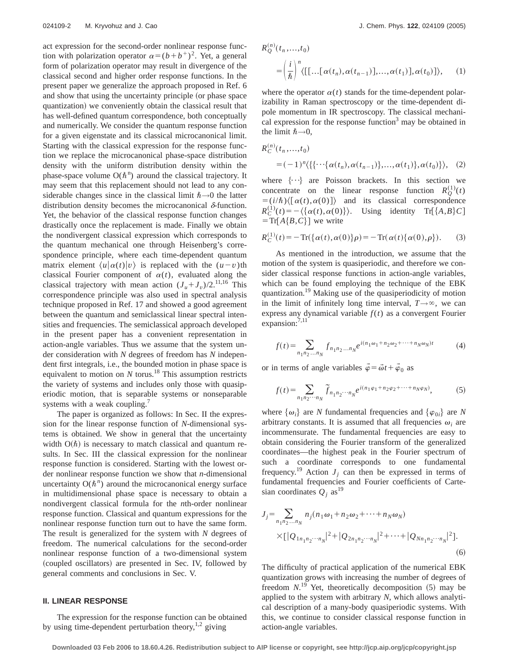act expression for the second-order nonlinear response function with polarization operator  $\alpha = (b+b^+)^2$ . Yet, a general form of polarization operator may result in divergence of the classical second and higher order response functions. In the present paper we generalize the approach proposed in Ref. 6 and show that using the uncertainty principle (or phase space quantization) we conveniently obtain the classical result that has well-defined quantum correspondence, both conceptually and numerically. We consider the quantum response function for a given eigenstate and its classical microcanonical limit. Starting with the classical expression for the response function we replace the microcanonical phase-space distribution density with the uniform distribution density within the phase-space volume  $O(\hbar^{n})$  around the classical trajectory. It may seem that this replacement should not lead to any considerable changes since in the classical limit  $\hbar \rightarrow 0$  the latter distribution density becomes the microcanonical  $\delta$ -function. Yet, the behavior of the classical response function changes drastically once the replacement is made. Finally we obtain the nondivergent classical expression which corresponds to the quantum mechanical one through Heisenberg's correspondence principle, where each time-dependent quantum matrix element  $\langle u | \alpha(t) | v \rangle$  is replaced with the  $(u-v)$ th classical Fourier component of  $\alpha(t)$ , evaluated along the classical trajectory with mean action  $(J_u + J_v)/2$ .<sup>11,16</sup> This correspondence principle was also used in spectral analysis technique proposed in Ref. 17 and showed a good agreement between the quantum and semiclassical linear spectral intensities and frequencies. The semiclassical approach developed in the present paper has a convenient representation in action-angle variables. Thus we assume that the system under consideration with *N* degrees of freedom has *N* independent first integrals, i.e., the bounded motion in phase space is equivalent to motion on  $N$  torus.<sup>18</sup> This assumption restricts the variety of systems and includes only those with quasiperiodic motion, that is separable systems or nonseparable systems with a weak coupling.<sup>7</sup>

The paper is organized as follows: In Sec. II the expression for the linear response function of *N*-dimensional systems is obtained. We show in general that the uncertainty width  $O(\hbar)$  is necessary to match classical and quantum results. In Sec. III the classical expression for the nonlinear response function is considered. Starting with the lowest order nonlinear response function we show that *n*-dimensional uncertainty  $O(\hbar^n)$  around the microcanonical energy surface in multidimensional phase space is necessary to obtain a nondivergent classical formula for the *n*th-order nonlinear response function. Classical and quantum expressions for the nonlinear response function turn out to have the same form. The result is generalized for the system with *N* degrees of freedom. The numerical calculations for the second-order nonlinear response function of a two-dimensional system (coupled oscillators) are presented in Sec. IV, followed by general comments and conclusions in Sec. V.

## **II. LINEAR RESPONSE**

The expression for the response function can be obtained by using time-dependent perturbation theory, $^{1,2}$  giving

$$
R_Q^{(n)}(t_n, \ldots, t_0)
$$
  
=  $\left(\frac{i}{\hbar}\right)^n \langle [[\ldots[\alpha(t_n), \alpha(t_{n-1})], \ldots, \alpha(t_1)], \alpha(t_0)] \rangle$ , (1)

where the operator  $\alpha(t)$  stands for the time-dependent polarizability in Raman spectroscopy or the time-dependent dipole momentum in IR spectroscopy. The classical mechanical expression for the response function<sup>3</sup> may be obtained in the limit  $\hbar\rightarrow 0$ ,

$$
R_C^{(n)}(t_n, ..., t_0)
$$
  
=  $(-1)^n \langle \{ \{ \cdots \{ \alpha(t_n), \alpha(t_{n-1}) \}, ..., \alpha(t_1) \}, \alpha(t_0) \} \rangle$ , (2)

where  $\{\cdot\cdot\}$  are Poisson brackets. In this section we concentrate on the linear response function  $R_Q^{(1)}(t)$  $= (i/\hbar)\langle [\alpha(t), \alpha(0)] \rangle$  and its classical correspondence  $R_C^{(1)}(t) = -\langle \{\alpha(t), \alpha(0)\}\rangle$ . Using identity Tr[ $\{A, B\}C$ ]  $=Tr[A{B,C}]$  we write

$$
R_C^{(1)}(t) = -\operatorname{Tr}(\{\alpha(t), \alpha(0)\}\rho) = -\operatorname{Tr}(\alpha(t)\{\alpha(0), \rho\}).\tag{3}
$$

As mentioned in the introduction, we assume that the motion of the system is quasiperiodic, and therefore we consider classical response functions in action-angle variables, which can be found employing the technique of the EBK quantization.19 Making use of the quasiperiodicity of motion in the limit of infinitely long time interval,  $T \rightarrow \infty$ , we can express any dynamical variable  $f(t)$  as a convergent Fourier expansion: $^{7,11}$ 

$$
f(t) = \sum_{n_1 n_2 \dots n_N} f_{n_1 n_2 \dots n_N} e^{i(n_1 \omega_1 + n_2 \omega_2 + \dots + n_N \omega_N)t}
$$
 (4)

or in terms of angle variables  $\vec{\varphi} = \vec{\omega}t + \vec{\varphi}_0$  as

$$
f(t) = \sum_{n_1 n_2 \cdots n_N} \tilde{f}_{n_1 n_2 \cdots n_N} e^{i(n_1 \varphi_1 + n_2 \varphi_2 + \cdots + n_N \varphi_N)},
$$
 (5)

where  $\{\omega_i\}$  are *N* fundamental frequencies and  $\{\varphi_{0i}\}$  are *N* arbitrary constants. It is assumed that all frequencies  $\omega_i$  are incommensurate. The fundamental frequencies are easy to obtain considering the Fourier transform of the generalized coordinates—the highest peak in the Fourier spectrum of such a coordinate corresponds to one fundamental frequency.<sup>19</sup> Action  $J_j$  can then be expressed in terms of fundamental frequencies and Fourier coefficients of Cartesian coordinates  $Q_i$  as<sup>19</sup>

$$
J_j = \sum_{n_1 n_2 \dots n_N} n_j (n_1 \omega_1 + n_2 \omega_2 + \dots + n_N \omega_N)
$$
  
 
$$
\times [Q_{1n_1 n_2 \cdots n_N}|^2 + |Q_{2n_1 n_2 \cdots n_N}|^2 + \dots + |Q_{Nn_1 n_2 \cdots n_N}|^2].
$$
  
(6)

The difficulty of practical application of the numerical EBK quantization grows with increasing the number of degrees of freedom  $N$ .<sup>19</sup> Yet, theoretically decomposition  $(5)$  may be applied to the system with arbitrary *N*, which allows analytical description of a many-body quasiperiodic systems. With this, we continue to consider classical response function in action-angle variables.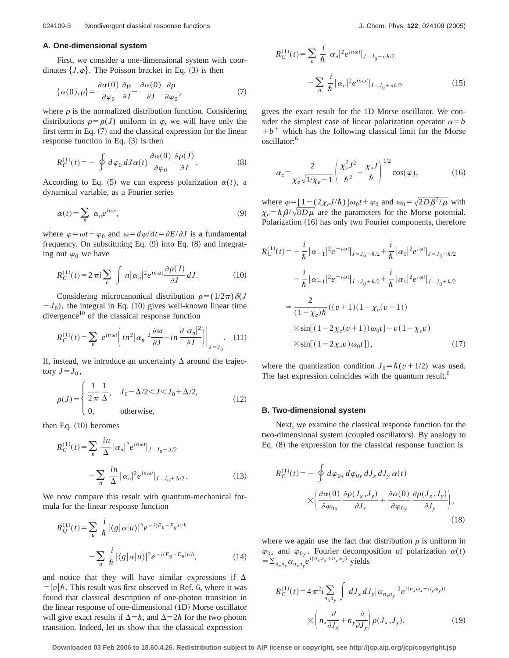## **A. One-dimensional system**

First, we consider a one-dimensional system with coordinates  $\{J,\varphi\}$ . The Poisson bracket in Eq. (3) is then

$$
\{\alpha(0),\rho\} = \frac{\partial \alpha(0)}{\partial \varphi_0} \frac{\partial \rho}{\partial J} - \frac{\partial \alpha(0)}{\partial J} \frac{\partial \rho}{\partial \varphi_0},\tag{7}
$$

where  $\rho$  is the normalized distribution function. Considering distributions  $\rho = \rho(J)$  uniform in  $\varphi$ , we will have only the first term in Eq.  $(7)$  and the classical expression for the linear response function in Eq.  $(3)$  is then

$$
R_C^{(1)}(t) = -\oint d\varphi_0 dJ\alpha(t) \frac{\partial \alpha(0)}{\partial \varphi_0} \frac{\partial \rho(J)}{\partial J}.
$$
 (8)

According to Eq.  $(5)$  we can express polarization  $\alpha(t)$ , a dynamical variable, as a Fourier series

$$
\alpha(t) = \sum_{n} \alpha_n e^{in\varphi},\tag{9}
$$

where  $\varphi = \omega t + \varphi_0$  and  $\omega = d\varphi/dt = \partial E/\partial J$  is a fundamental frequency. On substituting Eq.  $(9)$  into Eq.  $(8)$  and integrating out  $\varphi_0$  we have

$$
R_C^{(1)}(t) = 2\pi i \sum_n \int n |\alpha_n|^2 e^{in\omega t} \frac{\partial \rho(J)}{\partial J} dJ. \tag{10}
$$

Considering microcanonical distribution  $\rho = (1/2\pi)\delta(J)$  $-J_0$ ), the integral in Eq. (10) gives well-known linear time divergence<sup>10</sup> of the classical response function

$$
R_C^{(1)}(t) = \sum_n e^{in\omega t} \left( t n^2 |\alpha_n|^2 \frac{\partial \omega}{\partial J} - in \frac{\partial |\alpha_n|^2}{\partial J} \right) \Big|_{J=J_0}.
$$
 (11)

If, instead, we introduce an uncertainty  $\Delta$  around the trajectory  $J = J_0$ ,

$$
\rho(J) = \begin{cases} \frac{1}{2\pi} \frac{1}{\Delta}, & J_0 - \Delta/2 < J < J_0 + \Delta/2, \\ 0, & \text{otherwise,} \end{cases}
$$
(12)

then Eq.  $(10)$  becomes

$$
R_C^{(1)}(t) = \sum_{n} \frac{in}{\Delta} |\alpha_n|^2 e^{in\omega t}|_{J=J_0 - \Delta/2}
$$

$$
-\sum_{n} \frac{in}{\Delta} |\alpha_n|^2 e^{in\omega t}|_{J=J_0 + \Delta/2}.
$$
 (13)

We now compare this result with quantum-mechanical formula for the linear response function

$$
R_Q^{(1)}(t) = \sum_u \frac{i}{\hbar} |\langle g | \alpha | u \rangle|^2 e^{-i(E_u - E_g)t/\hbar}
$$

$$
- \sum_u \frac{i}{\hbar} |\langle g | \alpha | u \rangle|^2 e^{-i(E_g - E_u)t/\hbar}, \qquad (14)
$$

and notice that they will have similar expressions if  $\Delta$  $= |n|\hbar$ . This result was first observed in Ref. 6, where it was found that classical description of one-photon transition in the linear response of one-dimensional (1D) Morse oscillator will give exact results if  $\Delta = \hbar$ , and  $\Delta = 2\hbar$  for the two-photon transition. Indeed, let us show that the classical expression

$$
R_C^{(1)}(t) = \sum_n \frac{i}{\hbar} |\alpha_n|^2 e^{in\omega t} |_{J = J_0 - n\hbar/2}
$$

$$
- \sum_n \frac{i}{\hbar} |\alpha_n|^2 e^{in\omega t} |_{J = J_0 + n\hbar/2}
$$
(15)

gives the exact result for the 1D Morse oscillator. We consider the simplest case of linear polarization operator  $\alpha = b$  $+ b<sup>+</sup>$  which has the following classical limit for the Morse oscillator:6

$$
\alpha_c = \frac{2}{\chi_e \sqrt{1/\chi_e - 1}} \left( \frac{\chi_e^2 J^2}{\hbar^2} - \frac{\chi_e J}{\hbar} \right)^{1/2} \cos(\varphi),\tag{16}
$$

where  $\varphi = [1-(2\chi_e J/\hbar)]\omega_0 t + \varphi_0$  and  $\omega_0 = \sqrt{2D\beta^2/\mu}$  with  $\chi_e = \hbar \beta / \sqrt{8D\mu}$  are the parameters for the Morse potential. Polarization (16) has only two Fourier components, therefore

$$
R_C^{(1)}(t) = -\frac{i}{\hbar} |\alpha_{-1}|^2 e^{-i\omega t}|_{J=J_0 - \hbar/2} + \frac{i}{\hbar} |\alpha_1|^2 e^{i\omega t}|_{J=J_0 - \hbar/2}
$$
  

$$
-\frac{i}{\hbar} |\alpha_{-1}|^2 e^{-i\omega t}|_{J=J_0 + \hbar/2} + \frac{i}{\hbar} |\alpha_1|^2 e^{i\omega t}|_{J=J_0 + \hbar/2}
$$
  

$$
=\frac{2}{(1 - \chi_e)\hbar} ((v + 1)(1 - \chi_e(v + 1))
$$
  

$$
\times \sin[(1 - 2\chi_e(v + 1))\omega_0 t] - v(1 - \chi_e v)
$$
  

$$
\times \sin[(1 - 2\chi_e v)\omega_0 t]), \qquad (17)
$$

where the quantization condition  $J_0 = \hbar (v + 1/2)$  was used. The last expression coincides with the quantum result.<sup>6</sup>

#### **B. Two-dimensional system**

Next, we examine the classical response function for the two-dimensional system (coupled oscillators). By analogy to Eq.  $(8)$  the expression for the classical response function is

$$
R_C^{(1)}(t) = -\oint d\varphi_{0x} d\varphi_{0y} dJ_x dJ_y \alpha(t)
$$

$$
\times \left( \frac{\partial \alpha(0)}{\partial \varphi_{0x}} \frac{\partial \rho(J_x, J_y)}{\partial J_x} + \frac{\partial \alpha(0)}{\partial \varphi_{0y}} \frac{\partial \rho(J_x, J_y)}{\partial J_y} \right),
$$
(18)

where we again use the fact that distribution  $\rho$  is uniform in  $\varphi_{0x}$  and  $\varphi_{0y}$ . Fourier decomposition of polarization  $\alpha(t)$  $=\sum_{n_x,n_y} \alpha_{n_x,n_y} e^{i(n_x \varphi_x + n_y \varphi_y)}$  yields

$$
R_C^{(1)}(t) = 4 \pi^2 i \sum_{n_x n_y} \int dJ_x dJ_y |\alpha_{n_x n_y}|^2 e^{i(n_x \omega_x + n_y \omega_y)t}
$$
  
 
$$
\times \left( n_x \frac{\partial}{\partial J_x} + n_y \frac{\partial}{\partial J_y} \right) \rho(J_x, J_y).
$$
 (19)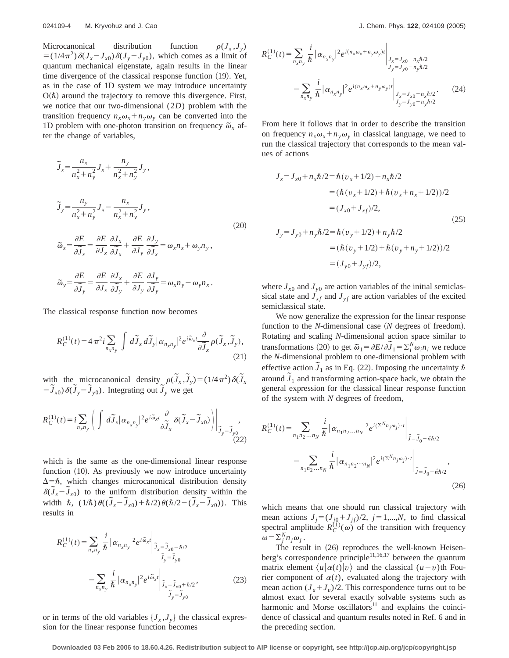Microcanonical distribution function  $\rho(J_x, J_y)$  $= (1/4\pi^2)\delta(J_x - J_{x0})\delta(J_y - J_{y0})$ , which comes as a limit of quantum mechanical eigenstate, again results in the linear time divergence of the classical response function  $(19)$ . Yet, as in the case of 1D system we may introduce uncertainty  $O(\hbar)$  around the trajectory to remove this divergence. First, we notice that our two-dimensional (2*D*) problem with the transition frequency  $n_{r}\omega_{r}+n_{y}\omega_{y}$  can be converted into the 1D problem with one-photon transition on frequency  $\tilde{\omega}_x$  after the change of variables,

$$
\widetilde{J}_x = \frac{n_x}{n_x^2 + n_y^2} J_x + \frac{n_y}{n_x^2 + n_y^2} J_y,
$$
\n
$$
\widetilde{J}_y = \frac{n_y}{n_x^2 + n_y^2} J_x - \frac{n_x}{n_x^2 + n_y^2} J_y,
$$
\n
$$
\widetilde{\omega}_x = \frac{\partial E}{\partial \widetilde{J}_x} = \frac{\partial E}{\partial J_x} \frac{\partial J_x}{\partial \widetilde{J}_x} + \frac{\partial E}{\partial J_y} \frac{\partial J_y}{\partial \widetilde{J}_x} = \omega_x n_x + \omega_y n_y,
$$
\n
$$
\widetilde{\omega}_y = \frac{\partial E}{\partial \widetilde{J}_y} = \frac{\partial E}{\partial J_x} \frac{\partial J_x}{\partial \widetilde{J}_y} + \frac{\partial E}{\partial J_y} \frac{\partial J_y}{\partial \widetilde{J}_y} = \omega_x n_y - \omega_y n_x.
$$
\n(20)

The classical response function now becomes

$$
R_C^{(1)}(t) = 4\pi^2 i \sum_{n_x n_y} \int d\tilde{J}_x d\tilde{J}_y |\alpha_{n_x n_y}|^2 e^{i\tilde{\omega}_x t} \frac{\partial}{\partial \tilde{J}_x} \rho(\tilde{J}_x, \tilde{J}_y),
$$
\n(21)

with the microcanonical density  $\rho(\tilde{J}_x, \tilde{J}_y) = (1/4\pi^2) \delta(\tilde{J}_x)$  $-\tilde{J}_{x0}\frac{\partial(\tilde{J}_y - \tilde{J}_{y0})}{\partial(\tilde{J}_y - \tilde{J}_{y0})}$ . Integrating out  $\tilde{J}_y$  we get

$$
R_C^{(1)}(t) = i \sum_{n_x n_y} \left( \int d\widetilde{J}_x |\alpha_{n_x n_y}|^2 e^{i\widetilde{\omega}_x t} \frac{\partial}{\partial \widetilde{J}_x} \delta(\widetilde{J}_x - \widetilde{J}_{x0}) \right) \Big|_{\widetilde{J}_y = \widetilde{J}_{y0}} ,
$$
\n(22)

which is the same as the one-dimensional linear response function  $(10)$ . As previously we now introduce uncertainty  $\Delta = \hbar$ , which changes microcanonical distribution density  $\delta(\tilde{J}_x - \tilde{J}_{x0})$  to the uniform distribution density within the width  $\hbar$ ,  $(1/\hbar)\theta((\tilde{J}_x - \tilde{J}_{x0}) + \hbar/2)\theta(\hbar/2 - (\tilde{J}_x - \tilde{J}_{x0}))$ . This results in

$$
R_C^{(1)}(t) = \sum_{n_x n_y} \frac{i}{\hbar} |\alpha_{n_x n_y}|^2 e^{i\tilde{\omega}_x t} \Big|_{\tilde{J}_x = \tilde{J}_{x0} - \hbar/2}
$$
  

$$
- \sum_{n_x n_y} \frac{i}{\hbar} |\alpha_{n_x n_y}|^2 e^{i\tilde{\omega}_x t} \Big|_{\tilde{J}_x = \tilde{J}_{x0} + \hbar/2},
$$
  
(23)

or in terms of the old variables  $\{J_x, J_y\}$  the classical expression for the linear response function becomes

$$
R_C^{(1)}(t) = \sum_{n_x n_y} \frac{i}{\hbar} |\alpha_{n_x n_y}|^2 e^{i(n_x \omega_x + n_y \omega_y)t} \Big|_{\substack{J_x = J_{x0} - n_x \hbar/2 \\ J_y = J_{y0} - n_y \hbar/2}} \Big|_{\substack{J_x = J_{x0} - n_x \hbar/2 \\ J_y = J_{y0} - n_y \hbar/2}} \Big|_{\substack{J_x = J_{x0} + n_x \hbar/2 \\ J_y = J_{y0} + n_x \hbar/2}} \Big|_{\substack{J_x = J_{x0} + n_x \hbar/2}} \Big|_{\substack{J_y = J_{y0} + n_x \hbar/2}} \Big|_{\substack{J_y = J_{y0} + n_x \hbar/2}} \Big|_{\substack{J_y = J_{y0} + n_y \hbar/2}} \Big|_{\substack{J_y = J_{y0} + n_y \hbar/2}} \Big|_{\substack{J_y = J_{y0} + n_y \hbar/2}} \Big|_{\substack{J_y = J_{y0} + n_y \hbar/2}} \Big|_{\substack{J_y = J_{y0} + n_y \hbar/2}} \Big|_{\substack{J_y = J_{y0} + n_y \hbar/2}} \Big|_{\substack{J_y = J_{y0} + n_y \hbar/2}} \Big|_{\substack{J_y = J_{y0} + n_y \hbar/2}} \Big|_{\substack{J_y = J_{y0} + n_y \hbar/2}} \Big|_{\substack{J_y = J_{y0} + n_y \hbar/2}} \Big|_{\substack{J_y = J_{y0} + n_y \hbar/2}} \Big|_{\substack{J_y = J_{y0} + n_y \hbar/2}} \Big|_{\substack{J_y = J_{y0} + n_y \hbar/2}} \Big|_{\substack{J_y = J_{y0} + n_y \hbar/2}} \Big|_{\substack{J_y = J_{y0} + n_y \hbar/2}} \Big|_{\substack{J_y = J_{y0} + n_y \hbar/2}} \Big|_{\substack{J_y = J_{y0} + n_y \hbar/2}} \Big|_{\substack{J_y = J_{y0} + n_y \hbar/2}} \Big|_{\substack{J_y = J_{y0} + n_y \hbar/2}} \Big|_{\substack{J_y = J_{y0} + n_y \hbar/2}} \Big|_{\sub
$$

From here it follows that in order to describe the transition on frequency  $n_x \omega_x + n_y \omega_y$  in classical language, we need to run the classical trajectory that corresponds to the mean values of actions

$$
J_x = J_{x0} + n_x \hbar/2 = \hbar (v_x + 1/2) + n_x \hbar/2
$$
  
=  $(\hbar (v_x + 1/2) + \hbar (v_x + n_x + 1/2))/2$   
=  $(J_{x0} + J_{xf})/2$ , (25)  

$$
J_y = J_{y0} + n_y \hbar/2 = \hbar (v_y + 1/2) + n_y \hbar/2
$$
  
=  $(\hbar (v_y + 1/2) + \hbar (v_y + n_y + 1/2))/2$ 

where  $J_{x0}$  and  $J_{y0}$  are action variables of the initial semiclassical state and  $J_{xf}$  and  $J_{yf}$  are action variables of the excited semiclassical state.

 $=(J_{y0}+J_{y f})/2,$ 

We now generalize the expression for the linear response function to the *N*-dimensional case (*N* degrees of freedom). Rotating and scaling *N*-dimensional action space similar to transformations (20) to get  $\tilde{\omega}_1 = \partial E / \partial \tilde{J}_1 = \sum_i^N \omega_i n_i$  we reduce the *N*-dimensional problem to one-dimensional problem with effective action  $\tilde{J}_1$  as in Eq. (22). Imposing the uncertainty  $\hbar$ around  $\tilde{J}_1$  and transforming action-space back, we obtain the general expression for the classical linear response function of the system with *N* degrees of freedom,

$$
R_C^{(1)}(t) = \sum_{n_1 n_2 ... n_N} \frac{i}{\hbar} |\alpha_{n_1 n_2 ... n_N}|^2 e^{i(\Sigma^N n_j \omega_j) \cdot t} \Big|_{\vec{j} = \vec{j}_0 - \vec{n}\hbar/2}
$$

$$
- \sum_{n_1 n_2 ... n_N} \frac{i}{\hbar} |\alpha_{n_1 n_2 ... n_N}|^2 e^{i(\Sigma^N n_j \omega_j) \cdot t} \Big|_{\vec{j} = \vec{j}_0 + \vec{n}\hbar/2},
$$
(26)

which means that one should run classical trajectory with mean actions  $J_j = (J_{j0} + J_{jj})/2$ ,  $j = 1,...,N$ , to find classical spectral amplitude  $R_C^{(1)}(\omega)$  of the transition with frequency  $\omega = \sum_{j}^{N} n_{j} \omega_{j}$ .

The result in  $(26)$  reproduces the well-known Heisenberg's correspondence principle<sup>11,16,17</sup> between the quantum matrix element  $\langle u | \alpha(t) | v \rangle$  and the classical  $(u-v)$ th Fourier component of  $\alpha(t)$ , evaluated along the trajectory with mean action  $(J_u + J_v)/2$ . This correspondence turns out to be almost exact for several exactly solvable systems such as harmonic and Morse oscillators $11$  and explains the coincidence of classical and quantum results noted in Ref. 6 and in the preceding section.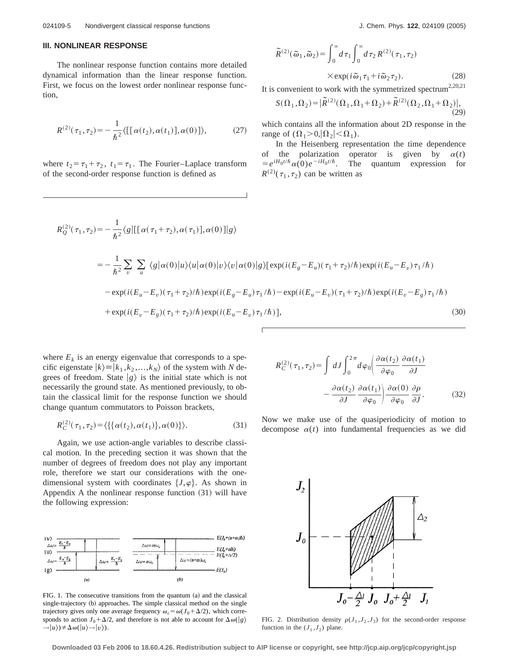### **III. NONLINEAR RESPONSE**

The nonlinear response function contains more detailed dynamical information than the linear response function. First, we focus on the lowest order nonlinear response function,

$$
R^{(2)}(\tau_1, \tau_2) = -\frac{1}{\hbar^2} \langle [[\alpha(t_2), \alpha(t_1)], \alpha(0)] \rangle, \tag{27}
$$

where  $t_2 = \tau_1 + \tau_2$ ,  $t_1 = \tau_1$ . The Fourier–Laplace transform of the second-order response function is defined as

$$
\widetilde{R}^{(2)}(\widetilde{\omega}_1, \widetilde{\omega}_2) = \int_0^\infty d\,\tau_1 \int_0^\infty d\,\tau_2 \, R^{(2)}(\tau_1, \tau_2) \times \exp(i\,\widetilde{\omega}_1 \,\tau_1 + i\,\widetilde{\omega}_2 \,\tau_2). \tag{28}
$$

It is convenient to work with the symmetrized spectrum<sup>2,20,21</sup>

$$
S(\Omega_1, \Omega_2) = |\widetilde{R}^{(2)}(\Omega_1, \Omega_1 + \Omega_2) + \widetilde{R}^{(2)}(\Omega_2, \Omega_1 + \Omega_2)|, \tag{29}
$$

which contains all the information about 2D response in the range of  $(\Omega_1>0, |\Omega_2|<\Omega_1)$ .

In the Heisenberg representation the time dependence of the polarization operator is given by  $\alpha(t)$ of the polarization operator is given by  $\alpha(t)$ <br>=  $e^{iH_0t/\hbar}\alpha(0)e^{-iH_0t/\hbar}$ . The quantum expression for  $R^{(2)}(\tau_1, \tau_2)$  can be written as

$$
R_Q^{(2)}(\tau_1, \tau_2) = -\frac{1}{\hbar^2} \langle g | [[\alpha(\tau_1 + \tau_2), \alpha(\tau_1)], \alpha(0)] | g \rangle
$$
  
=  $-\frac{1}{\hbar^2} \sum_v \sum_u \langle g | \alpha(0) | u \rangle \langle u | \alpha(0) | v \rangle \langle v | \alpha(0) | g \rangle [\exp(i(E_g - E_u)(\tau_1 + \tau_2)/\hbar) \exp(i(E_u - E_v)\tau_1/\hbar)$   
 $-\exp(i(E_u - E_v)(\tau_1 + \tau_2)/\hbar) \exp(i(E_g - E_u)\tau_1/\hbar) - \exp(i(E_u - E_v)(\tau_1 + \tau_2)/\hbar) \exp(i(E_v - E_g)\tau_1/\hbar)$   
 $+\exp(i(E_v - E_g)(\tau_1 + \tau_2)/\hbar) \exp(i(E_u - E_v)\tau_1/\hbar)],$  (30)

where  $E_k$  is an energy eigenvalue that corresponds to a specific eigenstate  $|k\rangle = |k_1, k_2, ..., k_N\rangle$  of the system with *N* degrees of freedom. State  $|g\rangle$  is the initial state which is not necessarily the ground state. As mentioned previously, to obtain the classical limit for the response function we should change quantum commutators to Poisson brackets,

$$
R_C^{(2)}(\tau_1, \tau_2) = \langle \{ \{ \alpha(t_2), \alpha(t_1) \}, \alpha(0) \} \rangle.
$$
 (31)

Again, we use action-angle variables to describe classical motion. In the preceding section it was shown that the number of degrees of freedom does not play any important role, therefore we start our considerations with the onedimensional system with coordinates  $\{J,\varphi\}$ . As shown in Appendix A the nonlinear response function  $(31)$  will have the following expression:



FIG. 1. The consecutive transitions from the quantum  $(a)$  and the classical single-trajectory (b) approaches. The simple classical method on the single trajectory gives only one average frequency  $\omega_c = \omega (J_0 + \Delta/2)$ , which corresponds to action  $J_0 + \Delta/2$ , and therefore is not able to account for  $\Delta \omega(|g\rangle)$  $\rightarrow |u\rangle$ )  $\neq \Delta \omega(|u\rangle \rightarrow |v\rangle)$ .

$$
R_C^{(2)}(\tau_1, \tau_2) = \int dJ \int_0^{2\pi} d\varphi_0 \left( \frac{\partial \alpha(t_2)}{\partial \varphi_0} \frac{\partial \alpha(t_1)}{\partial J} - \frac{\partial \alpha(t_2)}{\partial J} \frac{\partial \alpha(t_1)}{\partial \varphi_0} \frac{\partial \alpha(t_1)}{\partial \varphi_0} \frac{\partial \varphi_0}{\partial J} \right).
$$
 (32)

Now we make use of the quasiperiodicity of motion to decompose  $\alpha(t)$  into fundamental frequencies as we did



FIG. 2. Distribution density  $\rho(J_1, J_2, J_3)$  for the second-order response function in the  $(J_1, J_2)$  plane.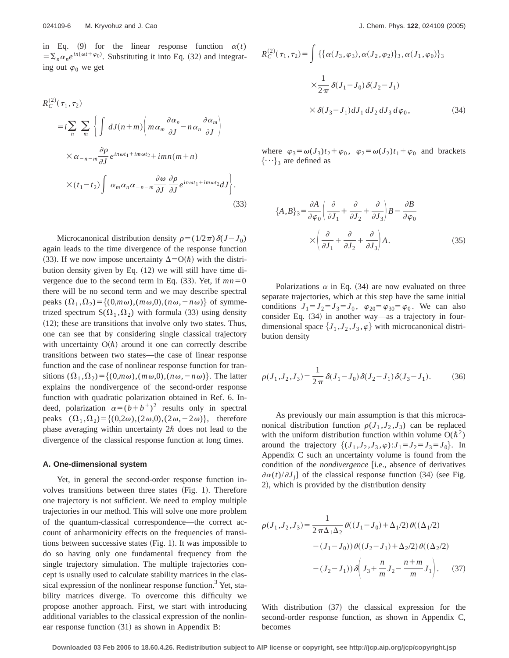in Eq. (9) for the linear response function  $\alpha(t)$  $=\sum_{n} \alpha_n e^{in(\omega t + \varphi_0)}$ . Substituting it into Eq. (32) and integrating out  $\varphi_0$  we get

$$
R_C^{(2)}(\tau_1, \tau_2)
$$
  
= $i \sum_n \sum_m \left\{ \int dJ(n+m) \left( m \alpha_m \frac{\partial \alpha_n}{\partial J} - n \alpha_n \frac{\partial \alpha_m}{\partial J} \right) \right\}$   
 $\times \alpha_{-n-m} \frac{\partial \rho}{\partial J} e^{in\omega t_1 + im\omega t_2} + imn(m+n)$   
 $\times (t_1 - t_2) \int \alpha_m \alpha_n \alpha_{-n-m} \frac{\partial \omega}{\partial J} \frac{\partial \rho}{\partial J} e^{in\omega t_1 + im\omega t_2} dJ \right\}.$  (33)

Microcanonical distribution density  $\rho = (1/2\pi)\delta(J-J_0)$ again leads to the time divergence of the response function (33). If we now impose uncertainty  $\Delta = O(\hbar)$  with the distribution density given by Eq.  $(12)$  we will still have time divergence due to the second term in Eq.  $(33)$ . Yet, if  $mn=0$ there will be no second term and we may describe spectral peaks  $(\Omega_1, \Omega_2) = \{(0,m\omega), (m\omega,0), (n\omega,-n\omega)\}\$  of symmetrized spectrum  $S(\Omega_1, \Omega_2)$  with formula (33) using density  $(12)$ ; these are transitions that involve only two states. Thus, one can see that by considering single classical trajectory with uncertainty  $O(\hbar)$  around it one can correctly describe transitions between two states—the case of linear response function and the case of nonlinear response function for transitions  $(\Omega_1, \Omega_2) = \{(0,m\omega), (m\omega,0), (n\omega,-n\omega)\}\.$  The latter explains the nondivergence of the second-order response function with quadratic polarization obtained in Ref. 6. Indeed, polarization  $\alpha = (b+b^+)^2$  results only in spectral peaks  $(\Omega_1, \Omega_2) = \{(0,2\omega), (2\omega,0), (2\omega,-2\omega)\}\,$ , therefore phase averaging within uncertainty  $2\hbar$  does not lead to the divergence of the classical response function at long times.

#### **A. One-dimensional system**

Yet, in general the second-order response function involves transitions between three states  $(Fig. 1)$ . Therefore one trajectory is not sufficient. We need to employ multiple trajectories in our method. This will solve one more problem of the quantum-classical correspondence—the correct account of anharmonicity effects on the frequencies of transitions between successive states  $(Fig. 1)$ . It was impossible to do so having only one fundamental frequency from the single trajectory simulation. The multiple trajectories concept is usually used to calculate stability matrices in the classical expression of the nonlinear response function.<sup>3</sup> Yet, stability matrices diverge. To overcome this difficulty we propose another approach. First, we start with introducing additional variables to the classical expression of the nonlinear response function  $(31)$  as shown in Appendix B:

$$
R_C^{(2)}(\tau_1, \tau_2) = \int \{ {\{\alpha(J_3, \varphi_3), \alpha(J_2, \varphi_2) \}_3, \alpha(J_1, \varphi_0) \}_3}
$$
  
 
$$
\times \frac{1}{2\pi} \delta(J_1 - J_0) \delta(J_2 - J_1)
$$
  
 
$$
\times \delta(J_3 - J_1) dJ_1 dJ_2 dJ_3 d\varphi_0,
$$
 (34)

where  $\varphi_3 = \omega(J_3)t_2 + \varphi_0$ ,  $\varphi_2 = \omega(J_2)t_1 + \varphi_0$  and brackets  $\{\cdots\}_3$  are defined as

$$
\{A, B\}_3 = \frac{\partial A}{\partial \varphi_0} \left( \frac{\partial}{\partial J_1} + \frac{\partial}{\partial J_2} + \frac{\partial}{\partial J_3} \right) B - \frac{\partial B}{\partial \varphi_0}
$$

$$
\times \left( \frac{\partial}{\partial J_1} + \frac{\partial}{\partial J_2} + \frac{\partial}{\partial J_3} \right) A. \tag{35}
$$

Polarizations  $\alpha$  in Eq. (34) are now evaluated on three separate trajectories, which at this step have the same initial conditions  $J_1 = J_2 = J_3 = J_0$ ,  $\varphi_{20} = \varphi_{30} = \varphi_0$ . We can also consider Eq.  $(34)$  in another way—as a trajectory in fourdimensional space  $\{J_1, J_2, J_3, \varphi\}$  with microcanonical distribution density

$$
\rho(J_1, J_2, J_3) = \frac{1}{2\pi} \delta(J_1 - J_0) \delta(J_2 - J_1) \delta(J_3 - J_1).
$$
 (36)

As previously our main assumption is that this microcanonical distribution function  $\rho(J_1, J_2, J_3)$  can be replaced with the uniform distribution function within volume  $O(\hbar^2)$ around the trajectory  $\{(J_1, J_2, J_3, \varphi): J_1 = J_2 = J_3 = J_0\}$ . In Appendix C such an uncertainty volume is found from the condition of the *nondivergence* [i.e., absence of derivatives  $\partial \alpha(t)/\partial J_i$ ] of the classical response function (34) (see Fig. 2), which is provided by the distribution density

$$
\rho(J_1, J_2, J_3) = \frac{1}{2 \pi \Delta_1 \Delta_2} \theta((J_1 - J_0) + \Delta_1/2) \theta((\Delta_1/2)
$$

$$
- (J_1 - J_0)) \theta((J_2 - J_1) + \Delta_2/2) \theta((\Delta_2/2)
$$

$$
- (J_2 - J_1)) \delta \left( J_3 + \frac{n}{m} J_2 - \frac{n+m}{m} J_1 \right). \tag{37}
$$

With distribution  $(37)$  the classical expression for the second-order response function, as shown in Appendix C, becomes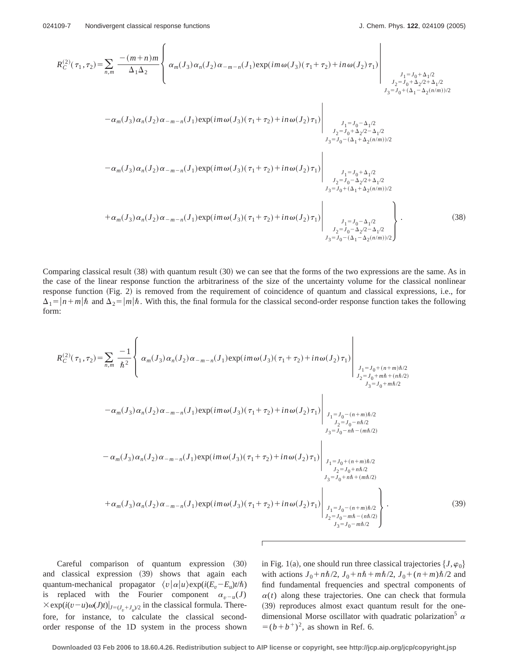$\epsilon$ 

 $\overline{1}$ 

$$
R_C^{(2)}(\tau_1, \tau_2) = \sum_{n,m} \frac{-(m+n)m}{\Delta_1 \Delta_2} \left\{ \alpha_m(J_3) \alpha_n(J_2) \alpha_{-m-n}(J_1) \exp(im\omega(J_3)(\tau_1 + \tau_2) + in \omega(J_2) \tau_1) \right\}_{\substack{J_1 = J_0 + \Delta_1/2 \\ J_2 = J_0 + \Delta_2/2 + \Delta_1/2 \\ J_3 = J_0 + (\Delta_1 - \Delta_2(n/m))/2 \\ J_4 = J_0 + (\Delta_1 - \Delta_2(n/m))/2}} \right\}_{\substack{J_1 = J_0 - \Delta_1/2 \\ J_2 = J_0 + \Delta_2/2 - \Delta_1/2 \\ J_3 = J_0 - (\Delta_1 + \Delta_2(n/m))/2}} \alpha_m(J_3) \alpha_n(J_2) \alpha_{-m-n}(J_1) \exp(im\omega(J_3)(\tau_1 + \tau_2) + in \omega(J_2) \tau_1) \right\}_{\substack{J_1 = J_0 - \Delta_1/2 \\ J_2 = J_0 + \Delta_2/2 - \Delta_1/2 \\ J_3 = J_0 - (\Delta_1 + \Delta_2(n/m))/2 \\ J_3 = J_0 + (\Delta_1 + \Delta_2(n/m))/2 \\ J_3 = J_0 + (\Delta_1 + \Delta_2(n/m))/2} \right\}_{\substack{J_1 = J_0 + \Delta_1/2 \\ J_2 = J_0 - \Delta_2/2 + \Delta_1/2 \\ J_3 = J_0 + (\Delta_1 + \Delta_2(n/m))/2 \\ J_3 = J_0 - (\Delta_1 - \Delta_2(n/m))/2}} \right\}_{\substack{J_1 = J_0 - \Delta_1/2 \\ J_2 = J_0 - \Delta_1/2 \\ J_3 = J_0 - (\Delta_1 - \Delta_2(n/m))/2}} \tag{38}
$$

Comparing classical result  $(38)$  with quantum result  $(30)$  we can see that the forms of the two expressions are the same. As in the case of the linear response function the arbitrariness of the size of the uncertainty volume for the classical nonlinear response function  $(Fig. 2)$  is removed from the requirement of coincidence of quantum and classical expressions, i.e., for  $\Delta_1 = |n+m|\hbar$  and  $\Delta_2 = |m|\hbar$ . With this, the final formula for the classical second-order response function takes the following form:

$$
R_C^{(2)}(\tau_1, \tau_2) = \sum_{n,m} \frac{-1}{\hbar^2} \left\{ \alpha_m(J_3) \alpha_n(J_2) \alpha_{-m-n}(J_1) \exp(im\omega(J_3)(\tau_1 + \tau_2) + in\omega(J_2)\tau_1) \right\}_{\substack{J_1 = J_0 + (n+m)\hbar/2 \\ J_2 = J_0 + m\hbar + (n\hbar/2) \\ J_3 = J_0 + m\hbar/2}} \right\}_{\substack{J_1 = J_0 + (n+m)\hbar/2 \\ J_2 = J_0 + m\hbar/2 \\ J_3 = J_0 + m\hbar/2}} - \alpha_m(J_3) \alpha_n(J_2) \alpha_{-m-n}(J_1) \exp(im\omega(J_3)(\tau_1 + \tau_2) + in\omega(J_2)\tau_1) \right\}_{\substack{J_1 = J_0 - (n+m)\hbar/2 \\ J_2 = J_0 - n\hbar/2 \\ J_3 = J_0 - n\hbar - (m\hbar/2) \\ J_2 = J_0 + n\hbar/2 \\ J_3 = J_0 + n\hbar/2}} \cdot \alpha_m(J_3) \alpha_n(J_2) \alpha_{-m-n}(J_1) \exp(im\omega(J_3)(\tau_1 + \tau_2) + in\omega(J_2)\tau_1) \right\}_{\substack{J_1 = J_0 + (n+m)\hbar/2 \\ J_2 = J_0 + n\hbar/2 \\ J_3 = J_0 + n\hbar + (m\hbar/2) \\ J_3 = J_0 - n\hbar - (n\hbar/2) \\ J_2 = J_0 - m\hbar - (n\hbar/2) \\ J_3 = J_0 - m\hbar - (n\hbar/2) \\ J_2 = J_0 - m\hbar - (n\hbar/2) \\ J_3 = J_0 - m\hbar/2} \right\}.
$$
\n(39)

Careful comparison of quantum expression (30) and classical expression (39) shows that again each quantum-mechanical propagator  $\langle v | \alpha | u \rangle \exp(i(E_v - E_u)t/\hbar)$ is replaced with the Fourier component  $\alpha_{v-u}(J)$  $\times$ exp( $i(v-u)\omega(J)t$ ) $|_{J=(J_x+J_y)/2}$  in the classical formula. Therefore, for instance, to calculate the classical secondorder response of the 1D system in the process shown in Fig. 1(a), one should run three classical trajectories  $\{J,\varphi_0\}$ with actions  $J_0 + n\hbar/2$ ,  $J_0 + n\hbar + m\hbar/2$ ,  $J_0 + (n+m)\hbar/2$  and find fundamental frequencies and spectral components of  $\alpha(t)$  along these trajectories. One can check that formula (39) reproduces almost exact quantum result for the onedimensional Morse oscillator with quadratic polarization<sup>5</sup>  $\alpha$  $=(b+b^{\dagger})^2$ , as shown in Ref. 6.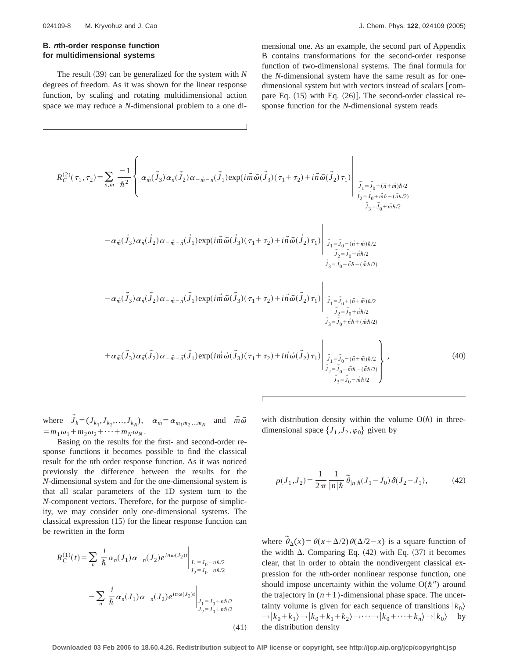## **B. <sup>n</sup>th-order response function for multidimensional systems**

The result  $(39)$  can be generalized for the system with *N* degrees of freedom. As it was shown for the linear response function, by scaling and rotating multidimensional action space we may reduce a *N*-dimensional problem to a one dimensional one. As an example, the second part of Appendix B contains transformations for the second-order response function of two-dimensional systems. The final formula for the *N*-dimensional system have the same result as for onedimensional system but with vectors instead of scalars [compare Eq.  $(15)$  with Eq.  $(26)$ ]. The second-order classical response function for the *N*-dimensional system reads

$$
R_C^{(2)}(\tau_1, \tau_2) = \sum_{n,m} \frac{-1}{\hbar^2} \left\{ \alpha_{\vec{m}}(\vec{J}_3) \alpha_{\vec{n}}(\vec{J}_2) \alpha_{-\vec{m}-\vec{n}}(\vec{J}_1) \exp(i\vec{m}\vec{\omega}(\vec{J}_3)(\tau_1 + \tau_2) + i\vec{n}\vec{\omega}(\vec{J}_2)\tau_1) \Bigg|_{\substack{\vec{J}_1 = \vec{J}_0 + (\vec{n} + \vec{m})\hbar/2 \\ \vec{J}_2 = \vec{J}_0 + \vec{m}\hbar/2 \\ \vec{J}_3 = \vec{J}_0 + \vec{m}\hbar/2}} \right\}
$$
  

$$
- \alpha_{\vec{m}}(\vec{J}_3) \alpha_{\vec{n}}(\vec{J}_2) \alpha_{-\vec{m}-\vec{n}}(\vec{J}_1) \exp(i\vec{m}\vec{\omega}(\vec{J}_3)(\tau_1 + \tau_2) + i\vec{n}\vec{\omega}(\vec{J}_2)\tau_1) \Bigg|_{\substack{\vec{J}_1 = \vec{J}_0 - (\vec{n} + \vec{m})\hbar/2 \\ \vec{J}_2 = \vec{J}_0 - \vec{m}\hbar/2 \\ \vec{J}_3 = \vec{J}_0 - \vec{m}\hbar/2}} \right\}
$$
  

$$
- \alpha_{\vec{m}}(\vec{J}_3) \alpha_{\vec{n}}(\vec{J}_2) \alpha_{-\vec{m}-\vec{n}}(\vec{J}_1) \exp(i\vec{m}\vec{\omega}(\vec{J}_3)(\tau_1 + \tau_2) + i\vec{n}\vec{\omega}(\vec{J}_2)\tau_1) \Bigg|_{\substack{\vec{J}_1 = \vec{J}_0 + (\vec{n} + \vec{m})\hbar/2 \\ \vec{J}_2 = \vec{J}_0 + \vec{m}\hbar/2 \\ \vec{J}_3 = \vec{J}_0 + \vec{m}\hbar/2}} \right\}
$$
  

$$
+ \alpha_{\vec{m}}(\vec{J}_3) \alpha_{\vec{n}}(\vec{J}_2) \alpha_{-\vec{m}-\vec{n}}(\vec{J}_1) \exp(i\vec{m}\vec{\omega}(\vec{J}_3)(\tau_1 + \tau_2) + i\vec{n}\vec{\omega}(\vec{J}_2)\tau_1) \Bigg|_{\substack{\vec{J}_1 = \vec{J}_0 - (\vec{n} + \vec
$$

where  $\vec{J}_k = (J_{k_1}, J_{k_2},..., J_{k_N}), \quad \alpha_{\vec{m}} = \alpha_{m_1 m_2 ... m_N}$  and  $\vec{m} \vec{\omega}$  $=m_1\omega_1+m_2\omega_2+\cdots+m_N\omega_N$ .

Basing on the results for the first- and second-order response functions it becomes possible to find the classical result for the *n*th order response function. As it was noticed previously the difference between the results for the *N*-dimensional system and for the one-dimensional system is that all scalar parameters of the 1D system turn to the *N*-component vectors. Therefore, for the purpose of simplicity, we may consider only one-dimensional systems. The classical expression  $(15)$  for the linear response function can be rewritten in the form

$$
R_C^{(1)}(t) = \sum_n \left. \frac{i}{\hbar} \alpha_n(J_1) \alpha_{-n}(J_2) e^{in\omega(J_2)t} \right|_{\substack{J_1 = J_0 - n\hbar/2 \\ J_2 = J_0 - n\hbar/2}} \newline - \sum_n \left. \frac{i}{\hbar} \alpha_n(J_1) \alpha_{-n}(J_2) e^{in\omega(J_2)t} \right|_{\substack{J_1 = J_0 + n\hbar/2 \\ J_2 = J_0 + n\hbar/2}} \tag{41}
$$

with distribution density within the volume  $O(\hbar)$  in threedimensional space  $\{J_1, J_2, \varphi_0\}$  given by

$$
\rho(J_1, J_2) = \frac{1}{2\pi} \frac{1}{|n|\hbar} \,\tilde{\theta}_{|n|\hbar}(J_1 - J_0) \,\delta(J_2 - J_1),\tag{42}
$$

where  $\tilde{\theta}_{\Delta}(x) = \theta(x + \Delta/2) \theta(\Delta/2 - x)$  is a square function of the width  $\Delta$ . Comparing Eq. (42) with Eq. (37) it becomes clear, that in order to obtain the nondivergent classical expression for the *n*th-order nonlinear response function, one should impose uncertainty within the volume  $O(\hbar^n)$  around the trajectory in  $(n+1)$ -dimensional phase space. The uncertainty volume is given for each sequence of transitions  $|k_0\rangle$  $\rightarrow$   $|k_0+k_1\rangle \rightarrow |k_0+k_1+k_2\rangle \rightarrow \cdots \rightarrow |k_0+\cdots+k_n\rangle \rightarrow |k_0\rangle$  by the distribution density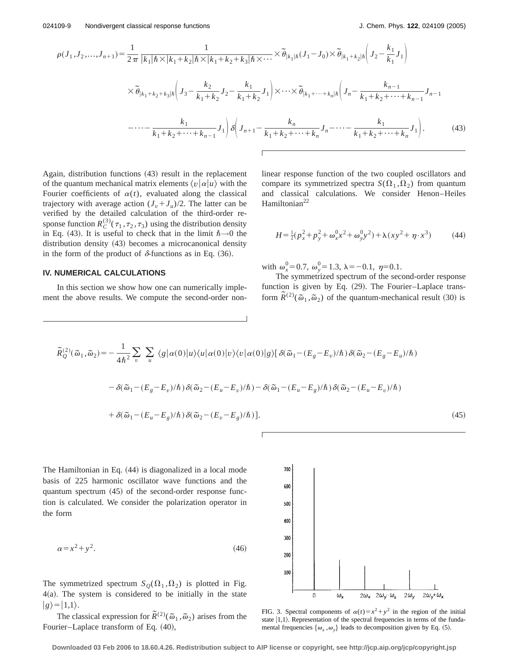$$
\rho(J_1, J_2, \dots, J_{n+1}) = \frac{1}{2\pi} \frac{1}{|k_1|\hbar \times |k_1 + k_2|\hbar \times |k_1 + k_2 + k_3|\hbar \times \dots} \times \tilde{\theta}_{|k_1|\hbar} (J_1 - J_0) \times \tilde{\theta}_{|k_1 + k_2|\hbar} \left( J_2 - \frac{k_1}{k_1} J_1 \right)
$$
  
 
$$
\times \tilde{\theta}_{|k_1 + k_2 + k_3|\hbar} \left( J_3 - \frac{k_2}{k_1 + k_2} J_2 - \frac{k_1}{k_1 + k_2} J_1 \right) \times \dots \times \tilde{\theta}_{|k_1 + \dots + k_n|\hbar} \left( J_n - \frac{k_{n-1}}{k_1 + k_2 + \dots + k_{n-1}} J_{n-1} \right)
$$
  
 
$$
-\dots - \frac{k_1}{k_1 + k_2 + \dots + k_{n-1}} J_1 \right) \delta \left( J_{n+1} - \frac{k_n}{k_1 + k_2 + \dots + k_n} J_n - \dots - \frac{k_1}{k_1 + k_2 + \dots + k_n} J_1 \right). \tag{43}
$$

Again, distribution functions  $(43)$  result in the replacement of the quantum mechanical matrix elements  $\langle v | \alpha | u \rangle$  with the Fourier coefficients of  $\alpha(t)$ , evaluated along the classical trajectory with average action  $(J_v + J_u)/2$ . The latter can be verified by the detailed calculation of the third-order response function  $R_C^{(3)}(\tau_1, \tau_2, \tau_3)$  using the distribution density in Eq. (43). It is useful to check that in the limit  $\hbar \rightarrow 0$  the distribution density (43) becomes a microcanonical density in the form of the product of  $\delta$ -functions as in Eq. (36).

## **IV. NUMERICAL CALCULATIONS**

In this section we show how one can numerically implement the above results. We compute the second-order nonlinear response function of the two coupled oscillators and compare its symmetrized spectra  $S(\Omega_1, \Omega_2)$  from quantum and classical calculations. We consider Henon–Heiles Hamiltonian<sup>22</sup>

$$
H = \frac{1}{2}(p_x^2 + p_y^2 + \omega_x^0 x^2 + \omega_y^0 y^2) + \lambda(xy^2 + \eta \cdot x^3)
$$
 (44)

with  $\omega_x^0 = 0.7$ ,  $\omega_y^0 = 1.3$ ,  $\lambda = -0.1$ ,  $\eta = 0.1$ .

The symmetrized spectrum of the second-order response function is given by Eq.  $(29)$ . The Fourier–Laplace transform  $\tilde{R}^{(2)}(\tilde{\omega}_1, \tilde{\omega}_2)$  of the quantum-mechanical result (30) is

$$
\tilde{R}_{Q}^{(2)}(\tilde{\omega}_{1},\tilde{\omega}_{2}) = -\frac{1}{4\hbar^{2}}\sum_{v}\sum_{u}\langle g|\alpha(0)|u\rangle\langle u|\alpha(0)|v\rangle\langle v|\alpha(0)|g\rangle[\delta(\tilde{\omega}_{1}-(E_{g}-E_{v})/\hbar)\delta(\tilde{\omega}_{2}-(E_{g}-E_{u})/\hbar)-\delta(\tilde{\omega}_{1}-(E_{g}-E_{v})/\hbar)\delta(\tilde{\omega}_{2}-(E_{u}-E_{v})/\hbar)-\delta(\tilde{\omega}_{1}-(E_{u}-E_{g})/\hbar)\delta(\tilde{\omega}_{2}-(E_{u}-E_{v})/\hbar)+\delta(\tilde{\omega}_{1}-(E_{u}-E_{g})/\hbar)\delta(\tilde{\omega}_{2}-(E_{v}-E_{g})/\hbar)].
$$
\n(45)

The Hamiltonian in Eq.  $(44)$  is diagonalized in a local mode basis of 225 harmonic oscillator wave functions and the quantum spectrum  $(45)$  of the second-order response function is calculated. We consider the polarization operator in the form

$$
\alpha = x^2 + y^2. \tag{46}
$$

The symmetrized spectrum  $S_Q(\Omega_1, \Omega_2)$  is plotted in Fig.  $4(a)$ . The system is considered to be initially in the state  $|g\rangle=|1,1\rangle.$ 

The classical expression for  $\tilde{R}^{(2)}(\tilde{\omega}_1, \tilde{\omega}_2)$  arises from the Fourier–Laplace transform of Eq.  $(40)$ ,



FIG. 3. Spectral components of  $\alpha(t)=x^2+y^2$  in the region of the initial state  $|1,1\rangle$ . Representation of the spectral frequencies in terms of the fundamental frequencies  $\{\omega_x, \omega_y\}$  leads to decomposition given by Eq. (5).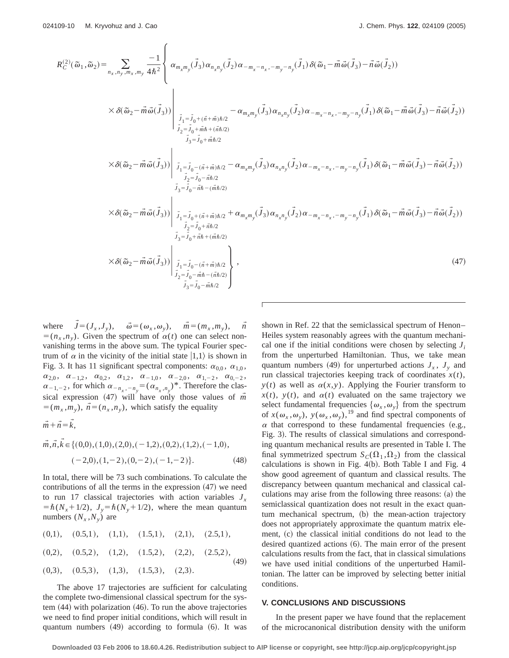$$
R_{C}^{(2)}(\tilde{\omega}_{1},\tilde{\omega}_{2}) = \sum_{n_{x},n_{y},m_{x},m_{y}} \frac{-1}{4\hbar^{2}} \left\{ \alpha_{m_{x}m_{y}}(\tilde{J}_{3}) \alpha_{n_{x}n_{y}}(\tilde{J}_{2}) \alpha_{-m_{x}-n_{x},-m_{y}-n_{y}}(\tilde{J}_{1}) \delta(\tilde{\omega}_{1}-\tilde{m}\tilde{\omega}(\tilde{J}_{3})-\tilde{n}\tilde{\omega}(\tilde{J}_{2})) \right.\times \delta(\tilde{\omega}_{2}-\tilde{m}\tilde{\omega}(\tilde{J}_{3})) \Big|_{\substack{\tilde{J}_{1}=\tilde{J}_{0}+(\tilde{n}+\tilde{m})\hbar/2 \\ \tilde{J}_{2}=\tilde{J}_{0}+\tilde{m}\hbar/2 \\ \tilde{J}_{3}=\tilde{J}_{0}+\tilde{m}\hbar/2}} - \alpha_{m_{x}m_{y}}(\tilde{J}_{3}) \alpha_{n_{x}n_{y}}(\tilde{J}_{2}) \alpha_{-m_{x}-n_{x},-m_{y}-n_{y}}(\tilde{J}_{1}) \delta(\tilde{\omega}_{1}-\tilde{m}\tilde{\omega}(\tilde{J}_{3})-\tilde{n}\tilde{\omega}(\tilde{J}_{2})) \right.\times \delta(\tilde{\omega}_{2}-\tilde{m}\tilde{\omega}(\tilde{J}_{3})) \Big|_{\substack{\tilde{J}_{1}=\tilde{J}_{0}-(\tilde{n}+\tilde{m})\hbar/2 \\ \tilde{J}_{2}=\tilde{J}_{0}-\tilde{m}\hbar/2 \\ \tilde{J}_{3}=\tilde{J}_{0}-\tilde{m}\hbar/2}} - \alpha_{m_{x}m_{y}}(\tilde{J}_{3}) \alpha_{n_{x}n_{y}}(\tilde{J}_{2}) \alpha_{-m_{x}-n_{x},-m_{y}-n_{y}}(\tilde{J}_{1}) \delta(\tilde{\omega}_{1}-\tilde{m}\tilde{\omega}(\tilde{J}_{3})-\tilde{n}\tilde{\omega}(\tilde{J}_{2})) \right.\times \delta(\tilde{\omega}_{2}-\tilde{m}\tilde{\omega}(\tilde{J}_{3})) \Big|_{\substack{\tilde{J}_{1}=\tilde{J}_{0}-(\tilde{n}+\tilde{m})\hbar/2 \\ \tilde{J}_{2}=\tilde{J}_{0}-\tilde{
$$

where  $\vec{J} = (J_x, J_y), \quad \vec{\omega} = (\omega_x, \omega_y), \quad \vec{m} = (m_x, m_y), \quad \vec{n}$  $=(n_x, n_y)$ . Given the spectrum of  $\alpha(t)$  one can select nonvanishing terms in the above sum. The typical Fourier spectrum of  $\alpha$  in the vicinity of the initial state  $|1,1\rangle$  is shown in Fig. 3. It has 11 significant spectral components:  $\alpha_{0,0}$ ,  $\alpha_{1,0}$ ,  $\alpha_{2,0}, \alpha_{-1,2}, \alpha_{0,2}, \alpha_{1,2}, \alpha_{-1,0}, \alpha_{-2,0}, \alpha_{1,-2}, \alpha_{0,-2},$  $\alpha_{-1,-2}$ , for which  $\alpha_{-n_x,-n_y} = (\alpha_{n_x,n_y})^*$ . Therefore the classical expression  $(47)$  will have only those values of  $\vec{m}$  $\vec{m} = (m_x, m_y), \vec{n} = (n_x, n_y),$  which satisfy the equality

 $\vec{m}+\vec{n}=\vec{k},$  $\rightarrow$ 

$$
\vec{m}, \vec{n}, k \in \{ (0,0), (1,0), (2,0), (-1,2), (0,2), (1,2), (-1,0), (-2,0), (1,-2), (0,-2), (-1,-2) \}.
$$
 (48)

In total, there will be 73 such combinations. To calculate the contributions of all the terms in the expression  $(47)$  we need to run 17 classical trajectories with action variables  $J<sub>x</sub>$  $= \hbar (N_x + 1/2)$ ,  $J_y = \hbar (N_y + 1/2)$ , where the mean quantum numbers  $(N_x, N_y)$  are

$$
(0,1), (0.5,1), (1,1), (1.5,1), (2,1), (2.5,1), (0,2), (0.5,2), (1,2), (1.5,2), (2,2), (2.5,2), (0,3), (0.5,3), (1,3), (1.5,3), (2,3).
$$
 (49)

The above 17 trajectories are sufficient for calculating the complete two-dimensional classical spectrum for the system  $(44)$  with polarization  $(46)$ . To run the above trajectories we need to find proper initial conditions, which will result in quantum numbers  $(49)$  according to formula  $(6)$ . It was shown in Ref. 22 that the semiclassical spectrum of Henon– Heiles system reasonably agrees with the quantum mechanical one if the initial conditions were chosen by selecting  $J_i$ from the unperturbed Hamiltonian. Thus, we take mean quantum numbers (49) for unperturbed actions  $J_x$ ,  $J_y$  and run classical trajectories keeping track of coordinates  $x(t)$ ,  $y(t)$  as well as  $\alpha(x, y)$ . Applying the Fourier transform to  $x(t)$ ,  $y(t)$ , and  $\alpha(t)$  evaluated on the same trajectory we select fundamental frequencies  $\{\omega_x,\omega_y\}$  from the spectrum of  $x(\omega_x, \omega_y)$ ,  $y(\omega_x, \omega_y)$ , <sup>19</sup> and find spectral components of  $\alpha$  that correspond to these fundamental frequencies (e.g., Fig. 3). The results of classical simulations and corresponding quantum mechanical results are presented in Table I. The final symmetrized spectrum  $S_C(\Omega_1, \Omega_2)$  from the classical calculations is shown in Fig.  $4(b)$ . Both Table I and Fig. 4 show good agreement of quantum and classical results. The discrepancy between quantum mechanical and classical calculations may arise from the following three reasons:  $(a)$  the semiclassical quantization does not result in the exact quantum mechanical spectrum, (b) the mean-action trajectory does not appropriately approximate the quantum matrix element, (c) the classical initial conditions do not lead to the desired quantized actions  $(6)$ . The main error of the present calculations results from the fact, that in classical simulations we have used initial conditions of the unperturbed Hamiltonian. The latter can be improved by selecting better initial conditions.

## **V. CONCLUSIONS AND DISCUSSIONS**

In the present paper we have found that the replacement of the microcanonical distribution density with the uniform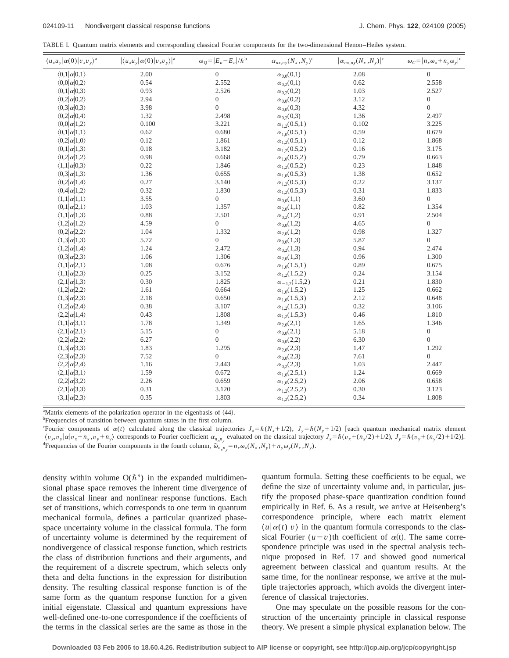TABLE I. Quantum matrix elements and corresponding classical Fourier components for the two-dimensional Henon–Heiles system.

| $\langle u_x u_y   \alpha(0)   v_x v_y \rangle^a$ | $ \langle u_x u_y   \alpha(0)   v_x v_y \rangle ^a$ | $\omega_Q =  E_u - E_v /\hbar^b$ | $\alpha_{nx,ny}(N_x,N_y)^c$ | $\left \alpha_{nx,ny}(N_x,N_y)\right ^c$ | $\omega_C =  n_x \omega_x + n_y \omega_y ^d$ |
|---------------------------------------------------|-----------------------------------------------------|----------------------------------|-----------------------------|------------------------------------------|----------------------------------------------|
| $\langle 0,1 \alpha 0,1\rangle$                   | 2.00                                                | $\boldsymbol{0}$                 | $\alpha_{0,0}(0,1)$         | 2.08                                     | $\boldsymbol{0}$                             |
| $\langle 0,0 \alpha 0,2\rangle$                   | 0.54                                                | 2.552                            | $\alpha_{0,2}(0,1)$         | 0.62                                     | 2.558                                        |
| $\langle 0,1 \alpha 0,3\rangle$                   | 0.93                                                | 2.526                            | $\alpha_{0,2}(0,2)$         | 1.03                                     | 2.527                                        |
| $\langle 0,2 \alpha 0,2\rangle$                   | 2.94                                                | $\boldsymbol{0}$                 | $\alpha_{0,0}(0,2)$         | 3.12                                     | $\boldsymbol{0}$                             |
| $\langle 0,3 \alpha 0,3\rangle$                   | 3.98                                                | $\boldsymbol{0}$                 | $\alpha_{0,0}(0,3)$         | 4.32                                     | $\boldsymbol{0}$                             |
| $\langle 0,2 \alpha 0,4\rangle$                   | 1.32                                                | 2.498                            | $\alpha_{0,2}(0,3)$         | 1.36                                     | 2.497                                        |
| $\langle 0,0 \alpha 1,2\rangle$                   | 0.100                                               | 3.221                            | $\alpha_{1,2}(0.5,1)$       | 0.102                                    | 3.225                                        |
| $\langle 0,1 \alpha 1,1\rangle$                   | 0.62                                                | 0.680                            | $\alpha_{1,0}(0.5,1)$       | 0.59                                     | 0.679                                        |
| $\langle 0,2 \alpha 1,0\rangle$                   | 0.12                                                | 1.861                            | $\alpha_{1,2}(0.5,1)$       | 0.12                                     | 1.868                                        |
| $\langle 0,1 \alpha 1,3\rangle$                   | 0.18                                                | 3.182                            | $\alpha_{1,2}(0.5,2)$       | 0.16                                     | 3.175                                        |
| $\langle 0,2 \alpha 1,2\rangle$                   | 0.98                                                | 0.668                            | $\alpha_{1,0}(0.5,2)$       | 0.79                                     | 0.663                                        |
| $\langle 1,1 \alpha 0,3\rangle$                   | 0.22                                                | 1.846                            | $\alpha_{1,2}(0.5,2)$       | 0.23                                     | 1.848                                        |
| $\langle 0,3 \alpha 1,3\rangle$                   | 1.36                                                | 0.655                            | $\alpha_{10}(0.5,3)$        | 1.38                                     | 0.652                                        |
| $\langle 0,2 \alpha 1,4\rangle$                   | 0.27                                                | 3.140                            | $\alpha_{1,2}(0.5,3)$       | 0.22                                     | 3.137                                        |
| $\langle 0,4 \alpha 1,2\rangle$                   | 0.32                                                | 1.830                            | $\alpha_{1,2}(0.5,3)$       | 0.31                                     | 1.833                                        |
| $\langle 1,1 \alpha 1,1\rangle$                   | 3.55                                                | $\boldsymbol{0}$                 | $\alpha_{0,0}(1,1)$         | 3.60                                     | $\boldsymbol{0}$                             |
| $\langle 0,1 \alpha 2,1\rangle$                   | 1.03                                                | 1.357                            | $\alpha_{2.0}(1,1)$         | 0.82                                     | 1.354                                        |
| $\langle 1,1 \alpha 1,3\rangle$                   | 0.88                                                | 2.501                            | $\alpha_{0.2}(1,2)$         | 0.91                                     | 2.504                                        |
| $\langle 1,2 \alpha 1,2\rangle$                   | 4.59                                                | $\boldsymbol{0}$                 | $\alpha_{0,0}(1,2)$         | 4.65                                     | $\boldsymbol{0}$                             |
| $\langle 0,2 \alpha 2,2\rangle$                   | 1.04                                                | 1.332                            | $\alpha_{2,0}(1,2)$         | 0.98                                     | 1.327                                        |
| $\langle 1,3 \alpha 1,3\rangle$                   | 5.72                                                | $\boldsymbol{0}$                 | $\alpha_{0,0}(1,3)$         | 5.87                                     | $\boldsymbol{0}$                             |
| $\langle 1,2 \alpha 1,4\rangle$                   | 1.24                                                | 2.472                            | $\alpha_{0.2}(1,3)$         | 0.94                                     | 2.474                                        |
| $\langle 0,3 \alpha 2,3\rangle$                   | 1.06                                                | 1.306                            | $\alpha_{2.0}(1,3)$         | 0.96                                     | 1.300                                        |
| $\langle 1,1 \alpha 2,1\rangle$                   | 1.08                                                | 0.676                            | $\alpha_{1,0}(1.5,1)$       | 0.89                                     | 0.675                                        |
| $\langle 1,1 \alpha 2,3\rangle$                   | 0.25                                                | 3.152                            | $\alpha_{1,2}(1.5,2)$       | 0.24                                     | 3.154                                        |
| $\langle 2,1 \alpha 1,3\rangle$                   | 0.30                                                | 1.825                            | $\alpha_{-1,2}(1.5,2)$      | 0.21                                     | 1.830                                        |
| $\langle 1,2 \alpha 2,2\rangle$                   | 1.61                                                | 0.664                            | $\alpha_{1,0}(1.5,2)$       | 1.25                                     | 0.662                                        |
| $\langle 1,3 \alpha 2,3\rangle$                   | 2.18                                                | 0.650                            | $\alpha_{1,0}(1.5,3)$       | 2.12                                     | 0.648                                        |
| $\langle 1,2 \alpha 2,4\rangle$                   | 0.38                                                | 3.107                            | $\alpha_{1,2}(1.5,3)$       | 0.32                                     | 3.106                                        |
| $\langle 2,2 \alpha 1,4\rangle$                   | 0.43                                                | 1.808                            | $\alpha_{12}(1.5,3)$        | 0.46                                     | 1.810                                        |
| $\langle 1,1 \alpha 3,1\rangle$                   | 1.78                                                | 1.349                            | $\alpha_{2,0}(2,1)$         | 1.65                                     | 1.346                                        |
| $\langle 2,1 \alpha 2,1\rangle$                   | 5.15                                                | $\boldsymbol{0}$                 | $\alpha_{0,0}(2,1)$         | 5.18                                     | $\boldsymbol{0}$                             |
| $\langle 2,2 \alpha 2,2\rangle$                   | 6.27                                                | $\boldsymbol{0}$                 | $\alpha_{0,0}(2,2)$         | 6.30                                     | $\boldsymbol{0}$                             |
| $\langle 1,3 \alpha 3,3\rangle$                   | 1.83                                                | 1.295                            | $\alpha_{2.0}(2,3)$         | 1.47                                     | 1.292                                        |
| $\langle 2,3 \alpha 2,3\rangle$                   | 7.52                                                | $\boldsymbol{0}$                 | $\alpha_{0.0}(2,3)$         | 7.61                                     | $\boldsymbol{0}$                             |
| $\langle 2,2 \alpha 2,4\rangle$                   | 1.16                                                | 2.443                            | $\alpha_{02}(2,3)$          | 1.03                                     | 2.447                                        |
| $\langle 2,1 \alpha 3,1\rangle$                   | 1.59                                                | 0.672                            | $\alpha_{1,0}(2.5,1)$       | 1.24                                     | 0.669                                        |
| $\langle 2,2 \alpha 3,2\rangle$                   | 2.26                                                | 0.659                            | $\alpha_{1,0}(2.5,2)$       | 2.06                                     | 0.658                                        |
| $\langle 2,1 \alpha 3,3\rangle$                   | 0.31                                                | 3.120                            | $\alpha_{1,2}(2.5,2)$       | 0.30                                     | 3.123                                        |
| $\langle 3,1 \alpha 2,3\rangle$                   | 0.35                                                | 1.803                            | $\alpha_{1,2}(2.5,2)$       | 0.34                                     | 1.808                                        |

<sup>a</sup>Matrix elements of the polarization operator in the eigenbasis of (44).

<sup>b</sup>Frequencies of transition between quantum states in the first column. Fourier components of  $\alpha(t)$  calculated along the classical trajectories  $J_x = \hbar (N_x + 1/2)$ ,  $J_y = \hbar (N_y + 1/2)$  [each quantum mechanical matrix element

 $\langle v_x, v_y | \alpha | v_x + n_x, v_y + n_y \rangle$  corresponds to Fourier coefficient  $\alpha_{n,n_y}$  evaluated on the classical trajectory  $J_x = \hbar (v_x + (n_x/2) + 1/2)$ ,  $J_y = \hbar (v_y + (n_y/2) + 1/2)$ . Frequencies of the Fourier components in the fourth column,  $\tilde{\omega}_{n_x n_y} = n_x \omega_x (N_x, N_y) + n_y \omega_y (N_x, N_y)$ .

density within volume  $O(\hbar^n)$  in the expanded multidimensional phase space removes the inherent time divergence of the classical linear and nonlinear response functions. Each set of transitions, which corresponds to one term in quantum mechanical formula, defines a particular quantized phasespace uncertainty volume in the classical formula. The form of uncertainty volume is determined by the requirement of nondivergence of classical response function, which restricts the class of distribution functions and their arguments, and the requirement of a discrete spectrum, which selects only theta and delta functions in the expression for distribution density. The resulting classical response function is of the same form as the quantum response function for a given initial eigenstate. Classical and quantum expressions have well-defined one-to-one correspondence if the coefficients of the terms in the classical series are the same as those in the quantum formula. Setting these coefficients to be equal, we define the size of uncertainty volume and, in particular, justify the proposed phase-space quantization condition found empirically in Ref. 6. As a result, we arrive at Heisenberg's correspondence principle, where each matrix element  $\langle u | \alpha(t) | v \rangle$  in the quantum formula corresponds to the classical Fourier  $(u-v)$ th coefficient of  $\alpha(t)$ . The same correspondence principle was used in the spectral analysis technique proposed in Ref. 17 and showed good numerical agreement between classical and quantum results. At the same time, for the nonlinear response, we arrive at the multiple trajectories approach, which avoids the divergent interference of classical trajectories.

One may speculate on the possible reasons for the construction of the uncertainty principle in classical response theory. We present a simple physical explanation below. The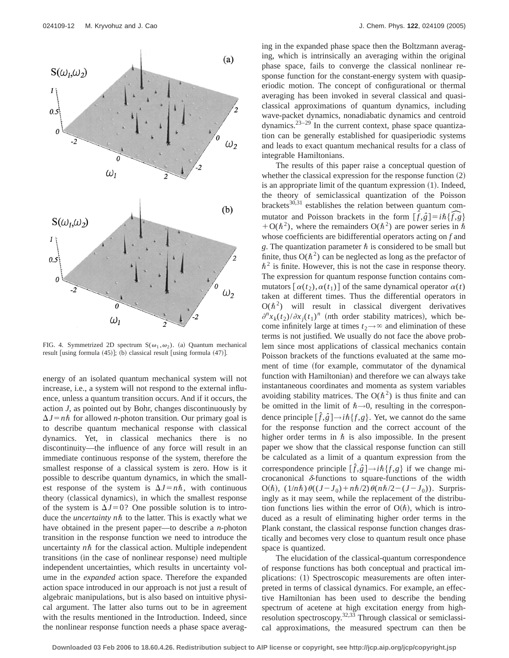

FIG. 4. Symmetrized 2D spectrum  $S(\omega_1, \omega_2)$ . (a) Quantum mechanical result [using formula  $(45)$ ]; (b) classical result [using formula  $(47)$ ].

energy of an isolated quantum mechanical system will not increase, i.e., a system will not respond to the external influence, unless a quantum transition occurs. And if it occurs, the action *J*, as pointed out by Bohr, changes discontinuously by  $\Delta J = n\hbar$  for allowed *n*-photon transition. Our primary goal is to describe quantum mechanical response with classical dynamics. Yet, in classical mechanics there is no discontinuity—the influence of any force will result in an immediate continuous response of the system, therefore the smallest response of a classical system is zero. How is it possible to describe quantum dynamics, in which the smallest response of the system is  $\Delta J = n\hbar$ , with continuous theory (classical dynamics), in which the smallest response of the system is  $\Delta J=0$ ? One possible solution is to introduce the *uncertainty nh* to the latter. This is exactly what we have obtained in the present paper—to describe a *n*-photon transition in the response function we need to introduce the uncertainty  $n\hbar$  for the classical action. Multiple independent transitions (in the case of nonlinear response) need multiple independent uncertainties, which results in uncertainty volume in the *expanded* action space. Therefore the expanded action space introduced in our approach is not just a result of algebraic manipulations, but is also based on intuitive physical argument. The latter also turns out to be in agreement with the results mentioned in the Introduction. Indeed, since the nonlinear response function needs a phase space averaging in the expanded phase space then the Boltzmann averaging, which is intrinsically an averaging within the original phase space, fails to converge the classical nonlinear response function for the constant-energy system with quasiperiodic motion. The concept of configurational or thermal averaging has been invoked in several classical and quasiclassical approximations of quantum dynamics, including wave-packet dynamics, nonadiabatic dynamics and centroid dynamics.23–29 In the current context, phase space quantization can be generally established for quasiperiodic systems and leads to exact quantum mechanical results for a class of integrable Hamiltonians.

The results of this paper raise a conceptual question of whether the classical expression for the response function  $(2)$ is an appropriate limit of the quantum expression  $(1)$ . Indeed, the theory of semiclassical quantization of the Poisson brackets $30,31$  establishes the relation between quantum commutator and Poisson brackets in the form  $[\hat{f}, \hat{g}] = i\hbar \{\hat{f}, g\}$  $+O(\hbar^2)$ , where the remainders  $O(\hbar^2)$  are power series in  $\hbar$ whose coefficients are bidifferential operators acting on *f* and *g*. The quantization parameter  $\hbar$  is considered to be small but finite, thus  $O(\hbar^2)$  can be neglected as long as the prefactor of  $\hbar^2$  is finite. However, this is not the case in response theory. The expression for quantum response function contains commutators  $\left[\alpha(t_2), \alpha(t_1)\right]$  of the same dynamical operator  $\alpha(t)$ taken at different times. Thus the differential operators in  $O(\hbar^2)$  will result in classical divergent derivatives  $\frac{\partial^n x_k(t_2)}{\partial x_j(t_1)}$  (*n*th order stability matrices), which become infinitely large at times  $t_2 \rightarrow \infty$  and elimination of these terms is not justified. We usually do not face the above problem since most applications of classical mechanics contain Poisson brackets of the functions evaluated at the same moment of time (for example, commutator of the dynamical function with Hamiltonian) and therefore we can always take instantaneous coordinates and momenta as system variables avoiding stability matrices. The  $O(\hbar^2)$  is thus finite and can be omitted in the limit of  $\hbar \rightarrow 0$ , resulting in the correspondence principle  $[\hat{f}, \hat{g}] \rightarrow i\hbar \{f, g\}$ . Yet, we cannot do the same for the response function and the correct account of the higher order terms in  $\hbar$  is also impossible. In the present paper we show that the classical response function can still be calculated as a limit of a quantum expression from the correspondence principle  $[\hat{f}, \hat{g}] \rightarrow i\hbar \{f, g\}$  if we change microcanonical  $\delta$ -functions to square-functions of the width O(h),  $(1/n\hbar)\theta((J-J_0)+n\hbar/2)\theta(n\hbar/2-(J-J_0))$ . Surprisingly as it may seem, while the replacement of the distribution functions lies within the error of  $O(\hbar)$ , which is introduced as a result of eliminating higher order terms in the Plank constant, the classical response function changes drastically and becomes very close to quantum result once phase space is quantized.

The elucidation of the classical-quantum correspondence of response functions has both conceptual and practical implications: (1) Spectroscopic measurements are often interpreted in terms of classical dynamics. For example, an effective Hamiltonian has been used to describe the bending spectrum of acetene at high excitation energy from highresolution spectroscopy.<sup>32,33</sup> Through classical or semiclassical approximations, the measured spectrum can then be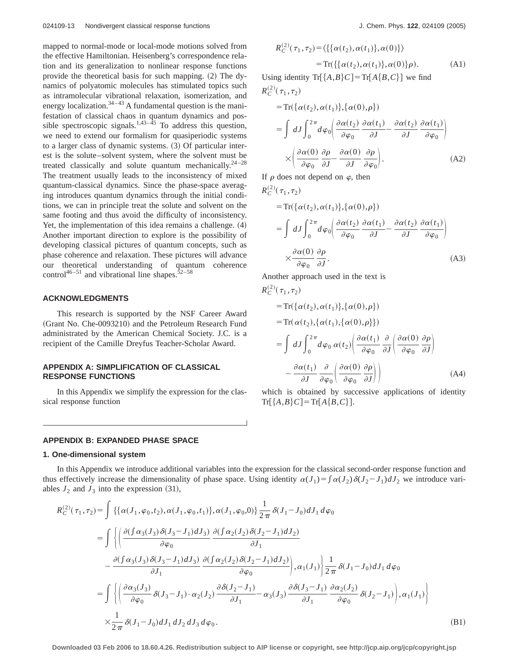mapped to normal-mode or local-mode motions solved from the effective Hamiltonian. Heisenberg's correspondence relation and its generalization to nonlinear response functions provide the theoretical basis for such mapping.  $(2)$  The dynamics of polyatomic molecules has stimulated topics such as intramolecular vibrational relaxation, isomerization, and energy localization. $3^{4-43}$  A fundamental question is the manifestation of classical chaos in quantum dynamics and possible spectroscopic signals. $1,43-45$  To address this question, we need to extend our formalism for quasiperiodic systems to a larger class of dynamic systems.  $(3)$  Of particular interest is the solute–solvent system, where the solvent must be treated classically and solute quantum mechanically.<sup>24-28</sup> The treatment usually leads to the inconsistency of mixed quantum-classical dynamics. Since the phase-space averaging introduces quantum dynamics through the initial conditions, we can in principle treat the solute and solvent on the same footing and thus avoid the difficulty of inconsistency. Yet, the implementation of this idea remains a challenge.  $(4)$ Another important direction to explore is the possibility of developing classical pictures of quantum concepts, such as phase coherence and relaxation. These pictures will advance our theoretical understanding of quantum coherence control<sup>46–51</sup> and vibrational line shapes.<sup>52–58</sup>

### **ACKNOWLEDGMENTS**

This research is supported by the NSF Career Award (Grant No. Che-0093210) and the Petroleum Research Fund administrated by the American Chemical Society. J.C. is a recipient of the Camille Dreyfus Teacher-Scholar Award.

## **APPENDIX A: SIMPLIFICATION OF CLASSICAL RESPONSE FUNCTIONS**

In this Appendix we simplify the expression for the classical response function

### **APPENDIX B: EXPANDED PHASE SPACE**

#### **1. One-dimensional system**

$$
R_C^{(2)}(\tau_1, \tau_2) = \langle \{ \{ \alpha(t_2), \alpha(t_1) \}, \alpha(0) \} \rangle
$$
  
= Tr( $\{ \{ \alpha(t_2), \alpha(t_1) \}, \alpha(0) \} \rho$ ). (A1)

Using identity  $\text{Tr}[\{A,B\}C] = \text{Tr}[A\{B,C\}]$  we find  $R_C^{(2)}(\tau_1, \tau_2)$ 

$$
= \text{Tr}\{\{\alpha(t_2), \alpha(t_1)\}, \{\alpha(0), \rho\}\}\
$$

$$
= \int dJ \int_0^{2\pi} d\varphi_0 \left( \frac{\partial \alpha(t_2)}{\partial \varphi_0} \frac{\partial \alpha(t_1)}{\partial J} - \frac{\partial \alpha(t_2)}{\partial J} \frac{\partial \alpha(t_1)}{\partial \varphi_0} \right)
$$

$$
\times \left( \frac{\partial \alpha(0)}{\partial \varphi_0} \frac{\partial \rho}{\partial J} - \frac{\partial \alpha(0)}{\partial J} \frac{\partial \rho}{\partial \varphi_0} \right). \tag{A2}
$$

If  $\rho$  does not depend on  $\varphi$ , then

$$
R_C^{(2)}(\tau_1, \tau_2)
$$
  
= Tr({ $\alpha(t_2), \alpha(t_1)$ }, { $\alpha(0), \rho$ })  
=  $\int dJ \int_0^{2\pi} d\varphi_0 \left( \frac{\partial \alpha(t_2)}{\partial \varphi_0} \frac{\partial \alpha(t_1)}{\partial J} - \frac{\partial \alpha(t_2)}{\partial J} \frac{\partial \alpha(t_1)}{\partial \varphi_0} \right)$   
 $\times \frac{\partial \alpha(0)}{\partial \varphi_0} \frac{\partial \rho}{\partial J}.$  (A3)

Another approach used in the text is

$$
R_C^{(2)}(\tau_1, \tau_2)
$$
  
= Tr $\{\alpha(t_2), \alpha(t_1)\}, \{\alpha(0), \rho\}\}\$   
= Tr $\{\alpha(t_2), \{\alpha(t_1), \{\alpha(0), \rho\}\}\}\$   
=  $\int dJ \int_0^{2\pi} d\varphi_0 \alpha(t_2) \left( \frac{\partial \alpha(t_1)}{\partial \varphi_0} \frac{\partial}{\partial J} \left( \frac{\partial \alpha(0)}{\partial \varphi_0} \frac{\partial \rho}{\partial J} \right) - \frac{\partial \alpha(t_1)}{\partial J} \frac{\partial}{\partial \varphi_0} \left( \frac{\partial \alpha(0)}{\partial \varphi_0} \frac{\partial \rho}{\partial J} \right) \right)$  (A4)

which is obtained by successive applications of identity  $Tr[{A,B}C] = Tr[A{B,C}].$ 

In this Appendix we introduce additional variables into the expression for the classical second-order response function and thus effectively increase the dimensionality of phase space. Using identity  $\alpha(J_1) = \int \alpha(J_2) \delta(J_2 - J_1) dJ_2$  we introduce variables  $J_2$  and  $J_3$  into the expression (31),

$$
R_C^{(2)}(\tau_1, \tau_2) = \int \left\{ \left\{ \alpha(J_1, \varphi_0, t_2), \alpha(J_1, \varphi_0, t_1) \right\}, \alpha(J_1, \varphi_0, 0) \right\} \frac{1}{2\pi} \delta(J_1 - J_0) dJ_1 d\varphi_0
$$
  
\n
$$
= \int \left\{ \left( \frac{\partial(\int \alpha_3(J_3) \delta(J_3 - J_1) dJ_3)}{\partial \varphi_0} \frac{\partial(\int \alpha_2(J_2) \delta(J_2 - J_1) dJ_2)}{\partial J_1} \right. \right.\left. - \frac{\partial(\int \alpha_3(J_3) \delta(J_3 - J_1) dJ_3)}{\partial J_1} \frac{\partial(\int \alpha_2(J_2) \delta(J_2 - J_1) dJ_2)}{\partial \varphi_0} \right), \alpha_1(J_1) \left\} \frac{1}{2\pi} \delta(J_1 - J_0) dJ_1 d\varphi_0
$$
  
\n
$$
= \int \left\{ \left( \frac{\partial \alpha_3(J_3)}{\partial \varphi_0} \delta(J_3 - J_1) \cdot \alpha_2(J_2) \frac{\partial \delta(J_2 - J_1)}{\partial J_1} - \alpha_3(J_3) \frac{\partial \delta(J_3 - J_1)}{\partial J_1} \frac{\partial \alpha_2(J_2)}{\partial \varphi_0} \delta(J_2 - J_1) \right), \alpha_1(J_1) \right\}
$$
  
\n
$$
\times \frac{1}{2\pi} \delta(J_1 - J_0) dJ_1 dJ_2 dJ_3 d\varphi_0.
$$
 (B1)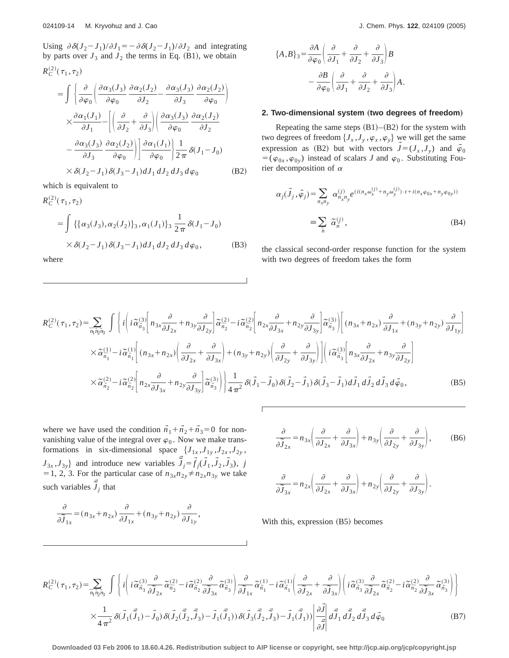Using  $\partial \delta (J_2 - J_1)/\partial J_1 = -\partial \delta (J_2 - J_1)/\partial J_2$  and integrating by parts over  $J_3$  and  $J_2$  the terms in Eq. (B1), we obtain

$$
R_C^{(2)}(\tau_1, \tau_2)
$$
\n
$$
= \int \left\{ \frac{\partial}{\partial \varphi_0} \left( \frac{\partial \alpha_3(J_3)}{\partial \varphi_0} \frac{\partial \alpha_2(J_2)}{\partial J_2} - \frac{\partial \alpha_3(J_3)}{\partial J_3} \frac{\partial \alpha_2(J_2)}{\partial \varphi_0} \right) \right\}
$$
\n
$$
\times \frac{\partial \alpha_1(J_1)}{\partial J_1} - \left[ \left( \frac{\partial}{\partial J_2} + \frac{\partial}{\partial J_3} \right) \left( \frac{\partial \alpha_3(J_3)}{\partial \varphi_0} \frac{\partial \alpha_2(J_2)}{\partial J_2} \right) \right.
$$
\n
$$
- \frac{\partial \alpha_3(J_3)}{\partial J_3} \frac{\partial \alpha_2(J_2)}{\partial \varphi_0} \left| \frac{\partial \alpha_1(J_1)}{\partial \varphi_0} \right| \frac{1}{2\pi} \delta(J_1 - J_0)
$$
\n
$$
\times \delta(J_2 - J_1) \delta(J_3 - J_1) dJ_1 dJ_2 dJ_3 d\varphi_0 \tag{B2}
$$

which is equivalent to

$$
R_C^{(2)}(\tau_1, \tau_2)
$$
  
= 
$$
\int {\{\alpha_3(J_3), \alpha_2(J_2)\}_3, \alpha_1(J_1)\}_3 \frac{1}{2\pi} \delta(J_1 - J_0)
$$
  

$$
\times \delta(J_2 - J_1) \delta(J_3 - J_1) dJ_1 dJ_2 dJ_3 d\varphi_0,
$$
 (B3)

where

$$
\{A, B\}_3 = \frac{\partial A}{\partial \varphi_0} \left( \frac{\partial}{\partial J_1} + \frac{\partial}{\partial J_2} + \frac{\partial}{\partial J_3} \right) B - \frac{\partial B}{\partial \varphi_0} \left( \frac{\partial}{\partial J_1} + \frac{\partial}{\partial J_2} + \frac{\partial}{\partial J_3} \right) A.
$$

#### 2. Two-dimensional system (two degrees of freedom)

Repeating the same steps  $(B1)$ – $(B2)$  for the system with two degrees of freedom  $\{J_x, J_y, \varphi_x, \varphi_y\}$  we will get the same expression as (B2) but with vectors  $\vec{J} = (J_x, J_y)$  and  $\vec{\varphi}_0$  $=$  ( $\varphi$ <sub>0*x*</sub> ,  $\varphi$ <sub>0*y*</sub>) instead of scalars *J* and  $\varphi$ <sub>0</sub>. Substituting Fourier decomposition of  $\alpha$ 

$$
\alpha_j(\vec{J}_j, \vec{\varphi}_j) = \sum_{n_x n_y} \alpha_{n_x n_y}^{(j)} e^{(i(n_x \omega_x^{(j)} + n_y \omega_y^{(j)}) \cdot t + i(n_x \varphi_{0x} + n_y \varphi_{0y}))}
$$
  

$$
\equiv \sum_{\vec{n}} \tilde{\alpha}_{\vec{n}}^{(j)}, \qquad (B4)
$$

the classical second-order response function for the system with two degrees of freedom takes the form

$$
R_{C}^{(2)}(\tau_{1},\tau_{2}) = \sum_{\overline{n_{1}}\overline{n_{2}}\overline{n_{3}}}\int \left\{ i \left( i \tilde{\alpha}_{\overline{n_{3}}}^{(3)} \left[ n_{3x} \frac{\partial}{\partial J_{2x}} + n_{3y} \frac{\partial}{\partial J_{2y}} \right] \tilde{\alpha}_{\overline{n_{2}}}^{(2)} - i \tilde{\alpha}_{\overline{n_{2}}}^{(2)} \left[ n_{2x} \frac{\partial}{\partial J_{3x}} + n_{2y} \frac{\partial}{\partial J_{3y}} \right] \tilde{\alpha}_{\overline{n_{3}}}^{(3)} \right] \left( n_{3x} + n_{2x} \right) \frac{\partial}{\partial J_{1x}} + (n_{3y} + n_{2y}) \frac{\partial}{\partial J_{1y}} \right\}
$$
  
\n
$$
\times \tilde{\alpha}_{\overline{n_{1}}}^{(1)} - i \tilde{\alpha}_{\overline{n_{1}}}^{(1)} \left[ (n_{3x} + n_{2x}) \left( \frac{\partial}{\partial J_{2x}} + \frac{\partial}{\partial J_{3x}} \right) + (n_{3y} + n_{2y}) \left( \frac{\partial}{\partial J_{2y}} + \frac{\partial}{\partial J_{3y}} \right) \right] \left( i \tilde{\alpha}_{\overline{n_{3}}}^{(3)} \left[ n_{3x} \frac{\partial}{\partial J_{2x}} + n_{3y} \frac{\partial}{\partial J_{2y}} \right] \right)
$$
  
\n
$$
\times \tilde{\alpha}_{\overline{n_{2}}}^{(2)} - i \tilde{\alpha}_{\overline{n_{2}}}^{(2)} \left[ n_{2x} \frac{\partial}{\partial J_{3x}} + n_{2y} \frac{\partial}{\partial J_{3y}} \right] \tilde{\alpha}_{\overline{n_{3}}}^{(3)} \right) \left\{ \frac{1}{4 \pi^{2}} \delta(\vec{J}_{1} - \vec{J}_{0}) \delta(\vec{J}_{2} - \vec{J}_{1}) \delta(\vec{J}_{3} - \vec{J}_{1}) d\vec{J}_{1} d\vec{J}_{2} d\vec{J}_{3} d\vec{\phi}_{0}, \tag{B5}
$$

where we have used the condition  $\vec{n}_1 + \vec{n}_2 + \vec{n}_3 = 0$  for nonvanishing value of the integral over  $\varphi_0$ . Now we make transformations in six-dimensional space  $\{J_{1x}, J_{1y}, J_{2x}, J_{2y},\}$  $J_{3x}$ , $J_{3y}$ } and introduce new variables  $\vec{\tilde{J}}_j = \vec{f}_j(\vec{J}_1, \vec{J}_2, \vec{J}_3)$ , *j* = 1, 2, 3. For the particular case of  $n_{3x}n_{2y} \neq n_{2x}n_{3y}$  we take such variables  $\vec{\tilde{J}}_j$  that

$$
\frac{\partial}{\partial \widetilde{J}_{1x}} = (n_{3x} + n_{2x}) \frac{\partial}{\partial J_{1x}} + (n_{3y} + n_{2y}) \frac{\partial}{\partial J_{1y}},
$$

$$
\frac{\partial}{\partial \widetilde{J}_{2x}} = n_{3x} \left( \frac{\partial}{\partial J_{2x}} + \frac{\partial}{\partial J_{3x}} \right) + n_{3y} \left( \frac{\partial}{\partial J_{2y}} + \frac{\partial}{\partial J_{3y}} \right), \tag{B6}
$$

$$
\frac{\partial}{\partial \widetilde{J}_{3x}} = n_{2x} \left( \frac{\partial}{\partial J_{2x}} + \frac{\partial}{\partial J_{3x}} \right) + n_{2y} \left( \frac{\partial}{\partial J_{2y}} + \frac{\partial}{\partial J_{3y}} \right).
$$

With this, expression  $(B5)$  becomes

$$
R_C^{(2)}(\tau_1, \tau_2) = \sum_{\overline{n_1 n_2 n_3}} \int \left\{ i \left( i \widetilde{\alpha}_{\overline{n_3}}^{(3)} \frac{\partial}{\partial \widetilde{J}_{2x}} \widetilde{\alpha}_{\overline{n_2}}^{(2)} - i \widetilde{\alpha}_{\overline{n_2}}^{(2)} \frac{\partial}{\partial \widetilde{J}_{3x}} \widetilde{\alpha}_{\overline{n_3}}^{(3)} \right) \frac{\partial}{\partial \widetilde{J}_{1x}} \widetilde{\alpha}_{\overline{n_1}}^{(1)} - i \widetilde{\alpha}_{\overline{n_1}}^{(1)} \left( \frac{\partial}{\partial \widetilde{J}_{2x}} + \frac{\partial}{\partial \widetilde{J}_{3x}} \right) \left( i \widetilde{\alpha}_{\overline{n_3}}^{(3)} \frac{\partial}{\partial \widetilde{J}_{2x}} \widetilde{\alpha}_{\overline{n_2}}^{(2)} - i \widetilde{\alpha}_{\overline{n_2}}^{(2)} \frac{\partial}{\partial \widetilde{J}_{3x}} \widetilde{\alpha}_{\overline{n_3}}^{(3)} \right) \right\}
$$
  

$$
\times \frac{1}{4 \pi^2} \delta(\widetilde{J}_1(\widetilde{\widetilde{J}}_1) - \widetilde{J}_0) \delta(\widetilde{J}_2(\widetilde{\widetilde{J}}_2, \widetilde{\widetilde{J}}_3) - \widetilde{J}_1(\widetilde{\widetilde{J}}_1)) \delta(\widetilde{J}_3(\widetilde{\widetilde{J}}_2, \widetilde{\widetilde{J}}_3) - \widetilde{J}_1(\widetilde{\widetilde{J}}_1)) \left| \frac{\partial \widetilde{J}}{\partial \widetilde{J}} \right| d\widetilde{\widetilde{J}}_1 d\widetilde{\widetilde{J}}_2 d\widetilde{\widetilde{J}}_3 d\widetilde{\varphi}_0 \tag{B7}
$$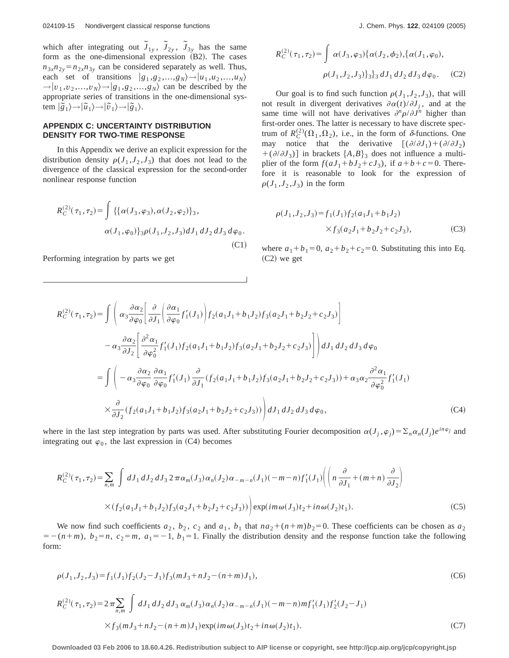which after integrating out  $\tilde{J}_{1y}$ ,  $\tilde{J}_{2y}$ ,  $\tilde{J}_{3y}$  has the same form as the one-dimensional expression  $(B2)$ . The cases  $n_{3x}n_{2y} = n_{2x}n_{3y}$  can be considered separately as well. Thus, each set of transitions  $|g_1, g_2, ..., g_N\rangle \rightarrow |u_1, u_2, ..., u_N\rangle$  $\rightarrow$   $|v_1, v_2, ..., v_N\rangle \rightarrow |g_1, g_2, ..., g_N\rangle$  can be described by the appropriate series of transitions in the one-dimensional system  $|\tilde{g}_1\rangle \rightarrow |\tilde{u}_1\rangle \rightarrow |\tilde{v}_1\rangle \rightarrow |\tilde{g}_1\rangle$ .

## **APPENDIX C: UNCERTAINTY DISTRIBUTION DENSITY FOR TWO-TIME RESPONSE**

In this Appendix we derive an explicit expression for the distribution density  $\rho(J_1, J_2, J_3)$  that does not lead to the divergence of the classical expression for the second-order nonlinear response function

$$
R_C^{(2)}(\tau_1, \tau_2) = \int \{ {\alpha(J_3, \varphi_3), \alpha(J_2, \varphi_2)}\}_3,
$$
  
 
$$
\alpha(J_1, \varphi_0) \}_3 \rho(J_1, J_2, J_3) dJ_1 dJ_2 dJ_3 d\varphi_0.
$$
  
(C1)

Performing integration by parts we get

$$
R_C^{(2)}(\tau_1, \tau_2) = \int \alpha(J_3, \varphi_3) \{ \alpha(J_2, \phi_2), \{ \alpha(J_1, \varphi_0), \rho(J_1, J_2, J_3) \} \} \, dJ_1 \, dJ_2 \, dJ_3 \, d\varphi_0. \tag{C2}
$$

Our goal is to find such function  $\rho(J_1, J_2, J_3)$ , that will not result in divergent derivatives  $\partial \alpha(t)/\partial J_i$ , and at the same time will not have derivatives  $\frac{\partial^n \rho}{\partial x^n}$  higher than first-order ones. The latter is necessary to have discrete spectrum of  $R_C^{(2)}(\Omega_1, \Omega_2)$ , i.e., in the form of  $\delta$ -functions. One may notice that the derivative  $[(\partial/\partial J_1)+(\partial/\partial J_2)]$  $+(\partial/\partial J_3)$  in brackets  $\{A,B\}_3$  does not influence a multiplier of the form  $f(aJ_1 + bJ_2 + cJ_3)$ , if  $a+b+c=0$ . Therefore it is reasonable to look for the expression of  $\rho(J_1, J_2, J_3)$  in the form

$$
\rho(J_1, J_2, J_3) = f_1(J_1) f_2(a_1 J_1 + b_1 J_2)
$$
  
 
$$
\times f_3(a_2 J_1 + b_2 J_2 + c_2 J_3), \tag{C3}
$$

where  $a_1 + b_1 = 0$ ,  $a_2 + b_2 + c_2 = 0$ . Substituting this into Eq.  $(C2)$  we get

$$
R_{C}^{(2)}(\tau_{1},\tau_{2}) = \int \left( \alpha_{3} \frac{\partial \alpha_{2}}{\partial \varphi_{0}} \left[ \frac{\partial}{\partial J_{1}} \left( \frac{\partial \alpha_{1}}{\partial \varphi_{0}} f'_{1}(J_{1}) \right) f_{2}(a_{1}J_{1} + b_{1}J_{2}) f_{3}(a_{2}J_{1} + b_{2}J_{2} + c_{2}J_{3}) \right] \right. \\ - \alpha_{3} \frac{\partial \alpha_{2}}{\partial J_{2}} \left[ \frac{\partial^{2} \alpha_{1}}{\partial \varphi_{0}^{2}} f'_{1}(J_{1}) f_{2}(a_{1}J_{1} + b_{1}J_{2}) f_{3}(a_{2}J_{1} + b_{2}J_{2} + c_{2}J_{3}) \right] \right) dJ_{1} dJ_{2} dJ_{3} d\varphi_{0} \\ = \int \left( -\alpha_{3} \frac{\partial \alpha_{2}}{\partial \varphi_{0}} \frac{\partial \alpha_{1}}{\partial \varphi_{0}} f'_{1}(J_{1}) \frac{\partial}{\partial J_{1}} (f_{2}(a_{1}J_{1} + b_{1}J_{2}) f_{3}(a_{2}J_{1} + b_{2}J_{2} + c_{2}J_{3})) + \alpha_{3} \alpha_{2} \frac{\partial^{2} \alpha_{1}}{\partial \varphi_{0}^{2}} f'_{1}(J_{1}) \right. \\ \times \frac{\partial}{\partial J_{2}} (f_{2}(a_{1}J_{1} + b_{1}J_{2}) f_{3}(a_{2}J_{1} + b_{2}J_{2} + c_{2}J_{3})) \right) dJ_{1} dJ_{2} dJ_{3} d\varphi_{0}, \tag{C4}
$$

where in the last step integration by parts was used. After substituting Fourier decomposition  $\alpha(J_i, \varphi_i) = \sum_n \alpha_n(J_i) e^{in\varphi_j}$  and integrating out  $\varphi_0$ , the last expression in (C4) becomes

$$
R_C^{(2)}(\tau_1, \tau_2) = \sum_{n,m} \int dJ_1 dJ_2 dJ_3 2 \pi \alpha_m(J_3) \alpha_n(J_2) \alpha_{-m-n}(J_1) (-m-n) f'_1(J_1) \left( \left( n \frac{\partial}{\partial J_1} + (m+n) \frac{\partial}{\partial J_2} \right) \right) \times (f_2(a_1 J_1 + b_1 J_2) f_3(a_2 J_1 + b_2 J_2 + c_2 J_3)) \Bigg) \exp(im\omega(J_3) t_2 + in \omega(J_2) t_1).
$$
 (C5)

We now find such coefficients  $a_2$ ,  $b_2$ ,  $c_2$  and  $a_1$ ,  $b_1$  that  $na_2 + (n+m)b_2 = 0$ . These coefficients can be chosen as  $a_2$  $5x = -(n+m)$ ,  $b_2=n$ ,  $c_2=m$ ,  $a_1=-1$ ,  $b_1=1$ . Finally the distribution density and the response function take the following form:

$$
\rho(J_1, J_2, J_3) = f_1(J_1) f_2(J_2 - J_1) f_3(mJ_3 + nJ_2 - (n+m)J_1),
$$
\n(C6)  
\n
$$
R_C^{(2)}(\tau_1, \tau_2) = 2 \pi \sum_{n,m} \int dJ_1 dJ_2 dJ_3 \alpha_m(J_3) \alpha_n(J_2) \alpha_{-m-n}(J_1) (-m-n) m f'_1(J_1) f'_2(J_2 - J_1)
$$
\n
$$
\times f_3(mJ_3 + nJ_2 - (n+m)J_1) \exp(im\omega(J_3) t_2 + in\omega(J_2) t_1).
$$
\n(C7)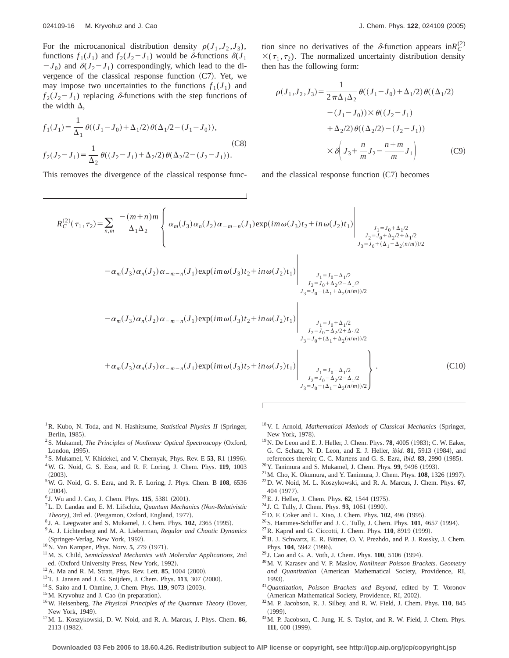For the microcanonical distribution density  $\rho(J_1, J_2, J_3)$ , functions  $f_1(J_1)$  and  $f_2(J_2 - J_1)$  would be  $\delta$ -functions  $\delta(J_1)$  $-J_0$ ) and  $\delta(J_2-J_1)$  correspondingly, which lead to the divergence of the classical response function  $(C7)$ . Yet, we may impose two uncertainties to the functions  $f_1(J_1)$  and  $f_2(J_2 - J_1)$  replacing  $\delta$ -functions with the step functions of the width  $\Delta$ ,

$$
f_1(J_1) = \frac{1}{\Delta_1} \theta((J_1 - J_0) + \Delta_1/2) \theta(\Delta_1/2 - (J_1 - J_0)),
$$
\n(C8)\n
$$
f_2(J_2 - J_1) = \frac{1}{\Delta_2} \theta((J_2 - J_1) + \Delta_2/2) \theta(\Delta_2/2 - (J_2 - J_1)).
$$

This removes the divergence of the classical response func-

tion since no derivatives of the  $\delta$ -function appears in $R_C^{(2)}$  $X(\tau_1, \tau_2)$ . The normalized uncertainty distribution density then has the following form:

$$
\rho(J_1, J_2, J_3) = \frac{1}{2 \pi \Delta_1 \Delta_2} \theta((J_1 - J_0) + \Delta_1/2) \theta((\Delta_1/2) - (J_1 - J_0)) \times \theta((J_2 - J_1) + \Delta_2/2) \theta((\Delta_2/2) - (J_2 - J_1))
$$

$$
\times \delta \left( J_3 + \frac{n}{m} J_2 - \frac{n + m}{m} J_1 \right) \tag{C9}
$$

and the classical response function  $(C7)$  becomes

$$
R_C^{(2)}(\tau_1, \tau_2) = \sum_{n,m} \frac{-(m+n)m}{\Delta_1 \Delta_2} \left\{ \alpha_m(J_3) \alpha_n(J_2) \alpha_{-m-n}(J_1) \exp(im\omega(J_3)t_2 + in\omega(J_2)t_1) \Big|_{\substack{J_1 = J_0 + \Delta_1/2 \\ J_2 = J_0 + \Delta_2/2 + \Delta_1/2 \\ J_3 = J_0 + (\Delta_1 - \Delta_2(n/m))/2}} \right\}
$$
  

$$
- \alpha_m(J_3) \alpha_n(J_2) \alpha_{-m-n}(J_1) \exp(im\omega(J_3)t_2 + in\omega(J_2)t_1) \Bigg|_{\substack{J_1 = J_0 - \Delta_1/2 \\ J_2 = J_0 + \Delta_2/2 - \Delta_1/2 \\ J_3 = J_0 - (\Delta_1 + \Delta_2(n/m))/2}} \right\}
$$
  

$$
- \alpha_m(J_3) \alpha_n(J_2) \alpha_{-m-n}(J_1) \exp(im\omega(J_3)t_2 + in\omega(J_2)t_1) \Bigg|_{\substack{J_1 = J_0 + \Delta_1/2 \\ J_2 = J_0 - \Delta_2/2 + \Delta_1/2 \\ J_3 = J_0 + (\Delta_1 + \Delta_2(n/m))/2}} \frac{1}{\alpha_{-m}(J_3)} \alpha_n(J_2) \alpha_{-m-n}(J_1) \exp(im\omega(J_3)t_2 + in\omega(J_2)t_1) \Bigg|_{\substack{J_1 = J_0 + \Delta_1/2 \\ J_2 = J_0 - \Delta_2/2 + \Delta_1/2 \\ J_3 = J_0 + (\Delta_1 + \Delta_2(n/m))/2}} \right\}
$$
  

$$
+ \alpha_m(J_3) \alpha_n(J_2) \alpha_{-m-n}(J_1) \exp(im\omega(J_3)t_2 + in\omega(J_2)t_1) \Bigg|_{\substack{J_1 = J_0 - \Delta_1/2 \\ J_2 = J_0 - \Delta_2/2 - \Delta_1/2}} \alpha_n(J_3) \alpha_n(J_2) \alpha_{-m-n}(J_1) \exp(im\omega(J_3)t_2 + in\omega(J_2)t_1) \Bigg|_{\substack{J_2 = J_0 - \Delta_1/2 \\ J_3 = J_0 - (\Delta_1 - \Delta_2(n/m))/2}} \right\}
$$
(C10)

- <sup>1</sup> R. Kubo, N. Toda, and N. Hashitsume, *Statistical Physics II* (Springer, Berlin, 1985).
- <sup>2</sup>S. Mukamel, *The Principles of Nonlinear Optical Spectroscopy* (Oxford, London, 1995).
- <sup>3</sup> S. Mukamel, V. Khidekel, and V. Chernyak, Phys. Rev. E 53, R1 (1996). 4W. G. Noid, G. S. Ezra, and R. F. Loring, J. Chem. Phys. **119**, 1003  $(2003).$
- 5W. G. Noid, G. S. Ezra, and R. F. Loring, J. Phys. Chem. B **108**, 6536  $(2004).$
- $6$  J. Wu and J. Cao, J. Chem. Phys.  $115$ , 5381 (2001).
- 7L. D. Landau and E. M. Lifschitz, *Quantum Mechanics (Non-Relativistic* Theory), 3rd ed. (Pergamon, Oxford, England, 1977).
- <sup>8</sup> J. A. Leegwater and S. Mukamel, J. Chem. Phys. **102**, 2365 (1995).
- 9A. J. Lichtenberg and M. A. Lieberman, *Regular and Chaotic Dynamics* (Springer-Verlag, New York, 1992).
- <sup>10</sup>N. Van Kampen, Phys. Norv. **5**, 279 (1971).
- 11M. S. Child, *Semiclassical Mechanics with Molecular Applications*, 2nd ed. (Oxford University Press, New York, 1992).
- $12$  A. Ma and R. M. Stratt, Phys. Rev. Lett. **85**, 1004 (2000).
- <sup>13</sup> T. J. Jansen and J. G. Snijders, J. Chem. Phys. **113**, 307 (2000).
- <sup>14</sup> S. Saito and I. Ohmine, J. Chem. Phys. **119**, 9073 (2003).
- $15$ M. Kryvohuz and J. Cao (in preparation).
- <sup>16</sup>W. Heisenberg, *The Physical Principles of the Quantum Theory* (Dover, New York, 1949).
- 17M. L. Koszykowski, D. W. Noid, and R. A. Marcus, J. Phys. Chem. **86**, 2113 (1982).
- <sup>18</sup> V. I. Arnold, *Mathematical Methods of Classical Mechanics* (Springer, New York, 1978).
- <sup>19</sup> N. De Leon and E. J. Heller, J. Chem. Phys. **78**, 4005 (1983); C. W. Eaker, G. C. Schatz, N. D. Leon, and E. J. Heller, *ibid.* 81, 5913 (1984), and references therein; C. C. Martens and G. S. Ezra, *ibid.* 83, 2990 (1985).
- <sup>20</sup> Y. Tanimura and S. Mukamel, J. Chem. Phys. **99**, 9496 (1993).
- $21$  M. Cho, K. Okumura, and Y. Tanimura, J. Chem. Phys.  $108$ ,  $1326$  (1997).
- 22D. W. Noid, M. L. Koszykowski, and R. A. Marcus, J. Chem. Phys. **67**, 404 (1977).
- <sup>23</sup> E. J. Heller, J. Chem. Phys. **62**, 1544 (1975).
- $24$  J. C. Tully, J. Chem. Phys. 93, 1061 (1990).
- <sup>25</sup> D. F. Coker and L. Xiao, J. Chem. Phys. **102**, 496 (1995).
- <sup>26</sup> S. Hammes-Schiffer and J. C. Tully, J. Chem. Phys. **101**, 4657 (1994).
- $^{27}$ R. Kapral and G. Ciccotti, J. Chem. Phys.  $110$ , 8919 (1999).
- 28B. J. Schwartz, E. R. Bittner, O. V. Prezhdo, and P. J. Rossky, J. Chem. Phys. 104, 5942 (1996).
- <sup>29</sup> J. Cao and G. A. Voth, J. Chem. Phys. **100**, 5106 (1994).
- 30M. V. Karasev and V. P. Maslov, *Nonlinear Poisson Brackets. Geometry* and Quantization (American Mathematical Society, Providence, RI, 1993).
- <sup>31</sup>*Quantization, Poisson Brackets and Beyond*, edited by T. Voronov (American Mathematical Society, Providence, RI, 2002).
- 32M. P. Jacobson, R. J. Silbey, and R. W. Field, J. Chem. Phys. **110**, 845  $(1999).$
- 33M. P. Jacobson, C. Jung, H. S. Taylor, and R. W. Field, J. Chem. Phys. **111**, 600 (1999).